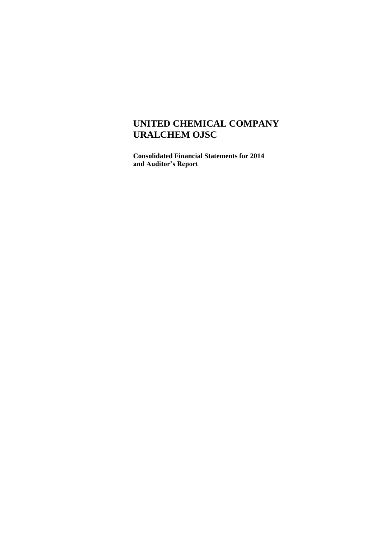**Consolidated Financial Statements for 2014 and Auditor's Report**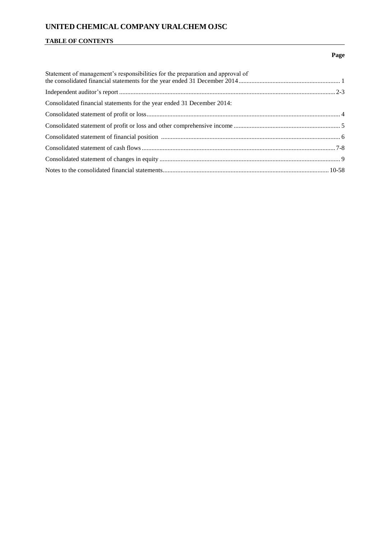### **TABLE OF CONTENTS**

### **Page**

| Statement of management's responsibilities for the preparation and approval of |  |
|--------------------------------------------------------------------------------|--|
|                                                                                |  |
| Consolidated financial statements for the year ended 31 December 2014:         |  |
|                                                                                |  |
|                                                                                |  |
|                                                                                |  |
|                                                                                |  |
|                                                                                |  |
|                                                                                |  |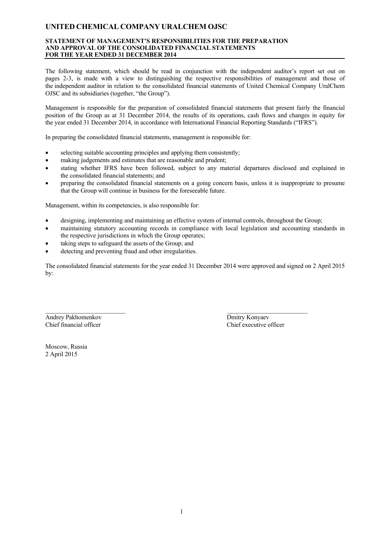#### **STATEMENT OF MANAGEMENT'S RESPONSIBILITIES FOR THE PREPARATION AND APPROVAL OF THE CONSOLIDATED FINANCIAL STATEMENTS FOR THE YEAR ENDED 31 DECEMBER 2014**

The following statement, which should be read in conjunction with the independent auditor's report set out on pages 2-3, is made with a view to distinguishing the respective responsibilities of management and those of the independent auditor in relation to the consolidated financial statements of United Chemical Company UralChem OJSC and its subsidiaries (together, "the Group").

Management is responsible for the preparation of consolidated financial statements that present fairly the financial position of the Group as at 31 December 2014, the results of its operations, cash flows and changes in equity for the year ended 31 December 2014, in accordance with International Financial Reporting Standards ("IFRS").

In preparing the consolidated financial statements, management is responsible for:

- selecting suitable accounting principles and applying them consistently;
- making judgements and estimates that are reasonable and prudent;
- stating whether IFRS have been followed, subject to any material departures disclosed and explained in the consolidated financial statements; and
- preparing the consolidated financial statements on a going concern basis, unless it is inappropriate to presume that the Group will continue in business for the foreseeable future.

Management, within its competencies, is also responsible for:

- designing, implementing and maintaining an effective system of internal controls, throughout the Group;
- maintaining statutory accounting records in compliance with local legislation and accounting standards in the respective jurisdictions in which the Group operates;
- taking steps to safeguard the assets of the Group; and
- detecting and preventing fraud and other irregularities.

The consolidated financial statements for the year ended 31 December 2014 were approved and signed on 2 April 2015 by:

Andrey Pakhomenkov Dmitry Konyaev

Chief financial officer Chief executive officer

Moscow, Russia 2 April 2015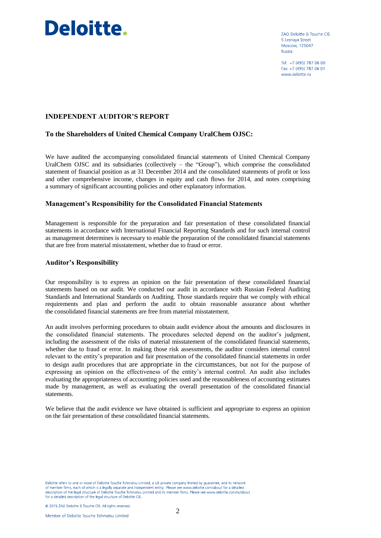# Deloitte.

**ZAO Deloitte & Touche CIS** 5 Lesnaya Street Moscow. 125047 Russia

Tel: +7 (495) 787 06 00 Fax: +7 (495) 787 06 01 www.deloitte.ru

#### **INDEPENDENT AUDITOR'S REPORT**

#### **To the Shareholders of United Chemical Company UralChem OJSC:**

We have audited the accompanying consolidated financial statements of United Chemical Company UralChem OJSC and its subsidiaries (collectively – the "Group"), which comprise the consolidated statement of financial position as at 31 December 2014 and the consolidated statements of profit or loss and other comprehensive income, changes in equity and cash flows for 2014, and notes comprising a summary of significant accounting policies and other explanatory information.

#### **Management's Responsibility for the Consolidated Financial Statements**

Management is responsible for the preparation and fair presentation of these consolidated financial statements in accordance with International Financial Reporting Standards and for such internal control as management determines is necessary to enable the preparation of the consolidated financial statements that are free from material misstatement, whether due to fraud or error.

#### **Auditor's Responsibility**

Our responsibility is to express an opinion on the fair presentation of these consolidated financial statements based on our audit. We conducted our audit in accordance with Russian Federal Auditing Standards and International Standards on Auditing. Those standards require that we comply with ethical requirements and plan and perform the audit to obtain reasonable assurance about whether the consolidated financial statements are free from material misstatement.

An audit involves performing procedures to obtain audit evidence about the amounts and disclosures in the consolidated financial statements. The procedures selected depend on the auditor's judgment, including the assessment of the risks of material misstatement of the consolidated financial statements, whether due to fraud or error. In making those risk assessments, the auditor considers internal control relevant to the entity's preparation and fair presentation of the consolidated financial statements in order to design audit procedures that are appropriate in the circumstances, but not for the purpose of expressing an opinion on the effectiveness of the entity's internal control. An audit also includes evaluating the appropriateness of accounting policies used and the reasonableness of accounting estimates made by management, as well as evaluating the overall presentation of the consolidated financial statements.

We believe that the audit evidence we have obtained is sufficient and appropriate to express an opinion on the fair presentation of these consolidated financial statements.

Deloitte refers to one or more of Deloitte Touche Tohmatsu Limited, a UK private company limited by quarantee, and its network of member firms, each of which is a legally separate and independent entity. Please see www.deloitte.com/about for a detailed description of the legal structure of Deloitte Touche Tohmatsu Limited and its member firms. Please see www.deloitte.com/ru/about for a detailed description of the legal structure of Deloitte CIS.

© 2015 ZAO Deloitte & Touche CIS. All rights reserved.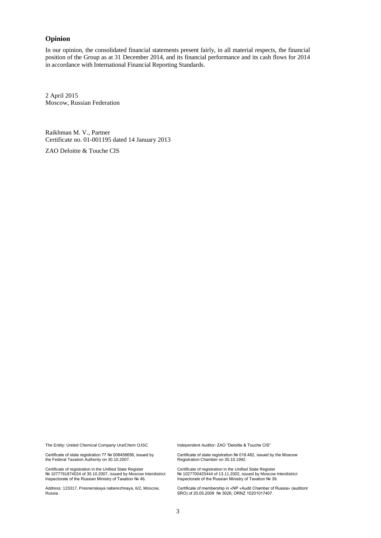### **Opinion**

In our opinion, the consolidated financial statements present fairly, in all material respects, the financial position of the Group as at 31 December 2014, and its financial performance and its cash flows for 2014 in accordance with International Financial Reporting Standards.

2 April 2015 Moscow, Russian Federation

Raikhman M. V., Partner Certificate no. 01-001195 dated 14 January 2013

ZAO Deloitte & Touche CIS

The Entity: United Chemical Company UralChem OJSC

Certificate of state registration 77 № 008458656, issued by the Federal Taxation Authority on 30.10.2007.

Certificate of registration in the Unified State Register № 1077761874024 of 30.10.2007, issued by Moscow Interdistrict Inspectorate of the Russian Ministry of Taxation № 46.

Address: 123317, Presnenskaya naberezhnaya, 6/2, Moscow, Russia

Independent Auditor: ZAO "Deloitte & Touche CIS"

Certificate of state registration № 018.482, issued by the Moscow Registration Chamber on 30.10.1992.

Certificate of registration in the Unified State Register № 1027700425444 of 13.11.2002, issued by Moscow Interdistrict Inspectorate of the Russian Ministry of Taxation № 39.

Certificate of membership in «NP «Audit Chamber of Russia» (auditors' SRO) of 20.05.2009 № 3026, ORNZ 10201017407.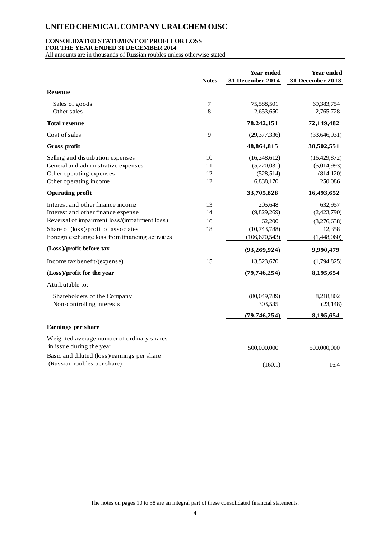### **CONSOLIDATED STATEMENT OF PROFIT OR LOSS**

**FOR THE YEAR ENDED 31 DECEMBER 2014**

All amounts are in thousands of Russian roubles unless otherwise stated

|                                                 | <b>Notes</b>   | Year ended<br>31 December 2014 | Year ended<br>31 December 2013 |
|-------------------------------------------------|----------------|--------------------------------|--------------------------------|
| <b>Revenue</b>                                  |                |                                |                                |
| Sales of goods                                  | $\overline{7}$ | 75,588,501                     | 69,383,754                     |
| Other sales                                     | 8              | 2,653,650                      | 2,765,728                      |
| <b>Total revenue</b>                            |                | 78,242,151                     | 72,149,482                     |
| Cost of sales                                   | 9              | (29, 377, 336)                 | (33, 646, 931)                 |
| Gross profit                                    |                | 48,864,815                     | 38,502,551                     |
| Selling and distribution expenses               | 10             | (16, 248, 612)                 | (16, 429, 872)                 |
| General and administrative expenses             | 11             | (5,220,031)                    | (5,014,993)                    |
| Other operating expenses                        | 12             | (528, 514)                     | (814, 120)                     |
| Other operating income                          | 12             | 6,838,170                      | 250,086                        |
| <b>Operating profit</b>                         |                | 33,705,828                     | 16,493,652                     |
| Interest and other finance income               | 13             | 205,648                        | 632,957                        |
| Interest and other finance expense              | 14             | (9,829,269)                    | (2,423,790)                    |
| Reversal of impairment loss/(impairment loss)   | 16             | 62,200                         | (3,276,638)                    |
| Share of (loss)/profit of associates            | 18             | (10,743,788)                   | 12,358                         |
| Foreign exchange loss from financing activities |                | (106, 670, 543)                | (1,448,060)                    |
| (Loss)/profit before tax                        |                | (93,269,924)                   | 9,990,479                      |
| Income tax benefit/(expense)                    | 15             | 13,523,670                     | (1,794,825)                    |
| (Loss)/profit for the year                      |                | (79, 746, 254)                 | 8,195,654                      |
| Attributable to:                                |                |                                |                                |
| Shareholders of the Company                     |                | (80,049,789)                   | 8,218,802                      |
| Non-controlling interests                       |                | 303,535                        | (23, 148)                      |
|                                                 |                | (79, 746, 254)                 | 8,195,654                      |
| Earnings per share                              |                |                                |                                |
| Weighted average number of ordinary shares      |                |                                |                                |
| in issue during the year                        |                | 500,000,000                    | 500,000,000                    |
| Basic and diluted (loss)/earnings per share     |                |                                |                                |
| (Russian roubles per share)                     |                | (160.1)                        | 16.4                           |

The notes on pages 10 to 58 are an integral part of these consolidated financial statements.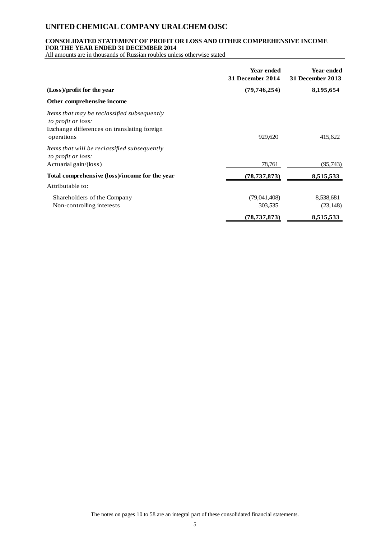#### **CONSOLIDATED STATEMENT OF PROFIT OR LOSS AND OTHER COMPREHENSIVE INCOME FOR THE YEAR ENDED 31 DECEMBER 2014**

All amounts are in thousands of Russian roubles unless otherwise stated

|                                                                                                                                | Year ended<br><b>31 December 2014</b>     | Year ended<br>31 December 2013      |
|--------------------------------------------------------------------------------------------------------------------------------|-------------------------------------------|-------------------------------------|
| (Loss)/profit for the year                                                                                                     | (79, 746, 254)                            | 8,195,654                           |
| Other comprehensive income                                                                                                     |                                           |                                     |
| Items that may be reclassified subsequently<br>to profit or loss:<br>Exchange differences on translating foreign<br>operations | 929,620                                   | 415,622                             |
| Items that will be reclassified subsequently<br>to profit or loss:<br>Actuarial gain/(loss)                                    | 78,761                                    | (95,743)                            |
| Total comprehensive (loss)/income for the year<br>Attributable to:                                                             | (78, 737, 873)                            | 8,515,533                           |
| Shareholders of the Company<br>Non-controlling interests                                                                       | (79,041,408)<br>303,535<br>(78, 737, 873) | 8,538,681<br>(23, 148)<br>8,515,533 |

The notes on pages 10 to 58 are an integral part of these consolidated financial statements.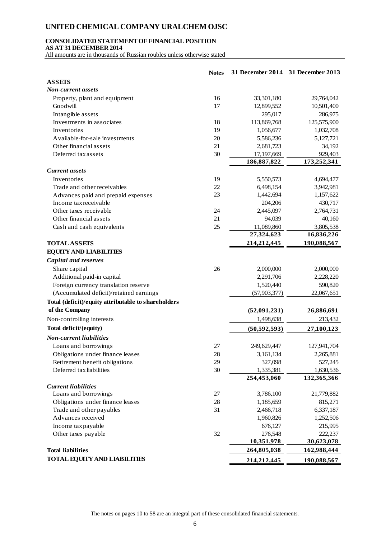#### **CONSOLIDATED STATEMENT OF FINANCIAL POSITION**

**AS AT 31 DECEMBER 2014**

All amounts are in thousands of Russian roubles unless otherwise stated

|                                                            | <b>Notes</b> |                          | 31 December 2014 31 December 2013 |
|------------------------------------------------------------|--------------|--------------------------|-----------------------------------|
| <b>ASSETS</b>                                              |              |                          |                                   |
| <b>Non-current assets</b>                                  |              |                          |                                   |
| Property, plant and equipment                              | 16           | 33,301,180               | 29,764,042                        |
| Goodwill                                                   | 17           | 12,899,552               | 10,501,400                        |
| Intangible assets                                          |              | 295,017                  | 286,975                           |
| Investments in associates                                  | 18           | 113,869,768              | 125,575,900                       |
| Inventories                                                | 19           | 1,056,677                | 1,032,708                         |
| Available-for-sale investments                             | 20           | 5,586,236                | 5,127,721                         |
| Other financial assets                                     | 21           | 2,681,723                | 34,192                            |
| Deferred tax assets                                        | 30           | 17,197,669               | 929,403                           |
|                                                            |              | 186,887,822              | 173,252,341                       |
| <b>Current assets</b>                                      |              |                          |                                   |
| Inventories                                                | 19           | 5,550,573                | 4,694,477                         |
| Trade and other receivables                                | 22           | 6,498,154                | 3,942,981                         |
| Advances paid and prepaid expenses                         | 23           | 1,442,694                | 1,157,622                         |
| Income tax receivable                                      |              | 204,206                  | 430,717                           |
| Other taxes receivable                                     | 24           | 2,445,097                | 2,764,731                         |
| Other financial assets                                     | 21           | 94,039                   | 40,160                            |
| Cash and cash equivalents                                  | 25           | 11,089,860               | 3,805,538                         |
|                                                            |              | 27,324,623               | 16,836,226                        |
| <b>TOTAL ASSETS</b>                                        |              | 214,212,445              | 190,088,567                       |
| <b>EQUITY AND LIABILITIES</b>                              |              |                          |                                   |
| <b>Capital and reserves</b>                                |              |                          |                                   |
| Share capital                                              | 26           | 2,000,000                | 2,000,000                         |
| Additional paid-in capital                                 |              | 2,291,706                | 2,228,220                         |
| Foreign currency translation reserve                       |              | 1,520,440                | 590,820                           |
| (Accumulated deficit)/retained earnings                    |              | (57, 903, 377)           | 22,067,651                        |
| Total (deficit)/equity attributable to shareholders        |              |                          |                                   |
| of the Company                                             |              | (52,091,231)             | 26,886,691                        |
| Non-controlling interests                                  |              | 1,498,638                | 213,432                           |
| Total deficit/(equity)                                     |              | (50, 592, 593)           | 27,100,123                        |
|                                                            |              |                          |                                   |
| <b>Non-current liabilities</b>                             |              |                          |                                   |
| Loans and borrowings                                       | 27           | 249,629,447              | 127,941,704                       |
| Obligations under finance leases                           | 28           | 3,161,134                | 2,265,881                         |
| Retirement benefit obligations<br>Deferred tax liabilities | 29<br>30     | 327,098                  | 527,245                           |
|                                                            |              | 1,335,381<br>254,453,060 | 1,630,536<br>132,365,366          |
| <b>Current liabilities</b>                                 |              |                          |                                   |
| Loans and borrowings                                       | 27           | 3,786,100                | 21,779,882                        |
| Obligations under finance leases                           | 28           | 1,185,659                | 815,271                           |
| Trade and other payables                                   | 31           | 2,466,718                | 6,337,187                         |
| Advances received                                          |              | 1,960,826                | 1,252,506                         |
| Income tax payable                                         |              | 676,127                  | 215,995                           |
| Other taxes payable                                        | 32           | 276,548                  | 222,237                           |
|                                                            |              | 10,351,978               | 30,623,078                        |
| <b>Total liabilities</b>                                   |              | 264,805,038              | 162,988,444                       |
| <b>TOTAL EQUITY AND LIABILITIES</b>                        |              |                          |                                   |
|                                                            |              | 214,212,445              | 190,088,567                       |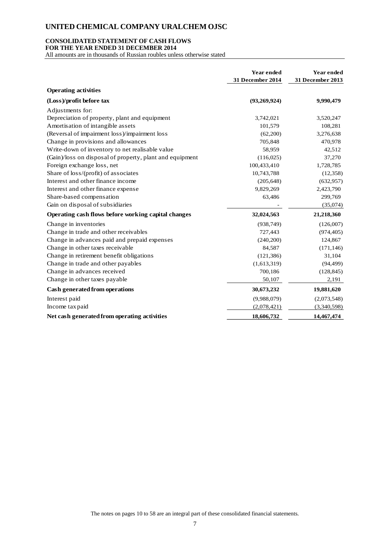### **CONSOLIDATED STATEMENT OF CASH FLOWS**

**FOR THE YEAR ENDED 31 DECEMBER 2014**

All amounts are in thousands of Russian roubles unless otherwise stated

|                                                          | Year ended<br>31 December 2014 | Year ended<br>31 December 2013 |
|----------------------------------------------------------|--------------------------------|--------------------------------|
| <b>Operating activities</b>                              |                                |                                |
| (Loss)/profit before tax                                 | (93,269,924)                   | 9,990,479                      |
| Adjustments for:                                         |                                |                                |
| Depreciation of property, plant and equipment            | 3,742,021                      | 3,520,247                      |
| Amortisation of intangible assets                        | 101,579                        | 108,281                        |
| (Reversal of impairment loss)/impairment loss            | (62,200)                       | 3,276,638                      |
| Change in provisions and allowances                      | 705,848                        | 470,978                        |
| Write-down of inventory to net realisable value          | 58,959                         | 42,512                         |
| (Gain)/loss on disposal of property, plant and equipment | (116, 025)                     | 37,270                         |
| Foreign exchange loss, net                               | 100,433,410                    | 1,728,785                      |
| Share of loss/(profit) of associates                     | 10,743,788                     | (12,358)                       |
| Interest and other finance income                        | (205, 648)                     | (632, 957)                     |
| Interest and other finance expense                       | 9,829,269                      | 2,423,790                      |
| Share-based compensation                                 | 63,486                         | 299,769                        |
| Gain on disposal of subsidiaries                         |                                | (35,074)                       |
| Operating cash flows before working capital changes      | 32,024,563                     | 21,218,360                     |
| Change in inventories                                    | (938, 749)                     | (126,007)                      |
| Change in trade and other receivables                    | 727,443                        | (974, 405)                     |
| Change in advances paid and prepaid expenses             | (240,200)                      | 124,867                        |
| Change in other taxes receivable                         | 84,587                         | (171, 146)                     |
| Change in retirement benefit obligations                 | (121, 386)                     | 31,104                         |
| Change in trade and other payables                       | (1,613,319)                    | (94, 499)                      |
| Change in advances received                              | 700,186                        | (128, 845)                     |
| Change in other taxes payable                            | 50,107                         | 2,191                          |
| Cash generated from operations                           | 30,673,232                     | 19,881,620                     |
| Interest paid                                            | (9,988,079)                    | (2,073,548)                    |
| Income tax paid                                          | (2,078,421)                    | (3,340,598)                    |
| Net cash generated from operating activities             | 18,606,732                     | 14,467,474                     |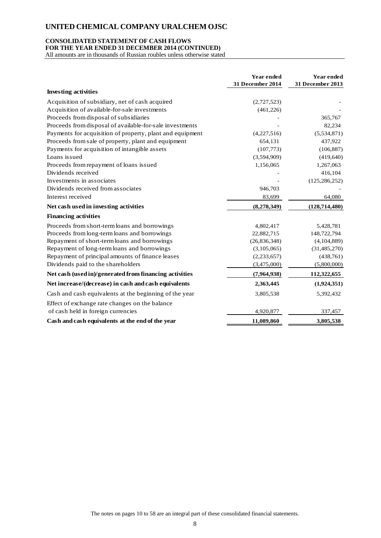#### **CONSOLIDATED STATEMENT OF CASH FLOWS**

**FOR THE YEAR ENDED 31 DECEMBER 2014 (CONTINUED)**

All amounts are in thousands of Russian roubles unless otherwise stated

|                                                           | Year ended<br>31 December 2014 | <b>Year ended</b><br>31 December 2013 |
|-----------------------------------------------------------|--------------------------------|---------------------------------------|
| <b>Investing activities</b>                               |                                |                                       |
| Acquisition of subsidiary, net of cash acquired           | (2,727,523)                    |                                       |
| Acquisition of available-for-sale investments             | (461, 226)                     |                                       |
| Proceeds from disposal of subsidiaries                    |                                | 365,767                               |
| Proceeds from disposal of available-for-sale investments  |                                | 82,234                                |
| Payments for acquisition of property, plant and equipment | (4,227,516)                    | (5,534,871)                           |
| Proceeds from sale of property, plant and equipment       | 654,131                        | 437,922                               |
| Payments for acquisition of intangible assets             | (107,773)                      | (106, 887)                            |
| Loans issued                                              | (3,594,909)                    | (419, 640)                            |
| Proceeds from repayment of loans issued                   | 1,156,065                      | 1,267,063                             |
| Dividends received                                        |                                | 416,104                               |
| Investments in associates                                 |                                | (125, 286, 252)                       |
| Dividends received from associates                        | 946,703                        |                                       |
| Interest received                                         | 83,699                         | 64,080                                |
| Net cash used in investing activities                     | (8,278,349)                    | (128, 714, 480)                       |
| <b>Financing activities</b>                               |                                |                                       |
| Proceeds from short-term loans and borrowings             | 4,802,417                      | 5,428,781                             |
| Proceeds from long-term loans and borrowings              | 22,882,715                     | 148,722,794                           |
| Repayment of short-term loans and borrowings              | (26, 836, 348)                 | (4,104,889)                           |
| Repayment of long-term loans and borrowings               | (3,105,065)                    | (31, 485, 270)                        |
| Repayment of principal amounts of finance leases          | (2,233,657)                    | (438,761)                             |
| Dividends paid to the shareholders                        | (3,475,000)                    | (5,800,000)                           |
| Net cash (used in)/generated from financing activities    | (7,964,938)                    | 112,322,655                           |
| Net increase/(decrease) in cash and cash equivalents      | 2,363,445                      | (1,924,351)                           |
| Cash and cash equivalents at the beginning of the year    | 3,805,538                      | 5,392,432                             |
| Effect of exchange rate changes on the balance            |                                |                                       |
| of cash held in foreign currencies                        | 4,920,877                      | 337,457                               |
| Cash and cash equivalents at the end of the year          | 11,089,860                     | 3,805,538                             |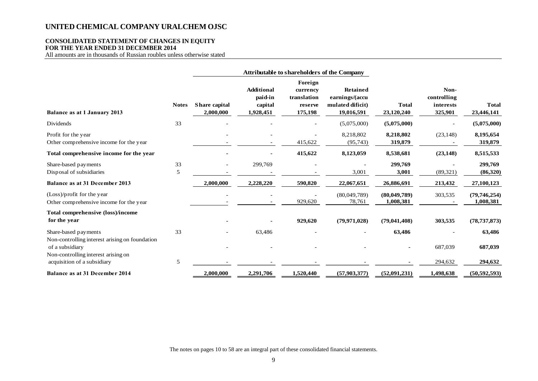#### **CONSOLIDATED STATEMENT OF CHANGES IN EQUITY FOR THE YEAR ENDED 31 DECEMBER 2014**

All amounts are in thousands of Russian roubles unless otherwise stated

|                                                                                                          |                  |                            |                                                      |                                                          | <b>Attributable to shareholders of the Company</b>           |                            |                                             |                             |
|----------------------------------------------------------------------------------------------------------|------------------|----------------------------|------------------------------------------------------|----------------------------------------------------------|--------------------------------------------------------------|----------------------------|---------------------------------------------|-----------------------------|
| <b>Notes</b><br><b>Balance as at 1 January 2013</b>                                                      |                  | Share capital<br>2,000,000 | <b>Additional</b><br>paid-in<br>capital<br>1,928,451 | Foreign<br>currency<br>translation<br>reserve<br>175,198 | Retained<br>earnings/(accu<br>mulated dificit)<br>19,016,591 | <b>Total</b><br>23,120,240 | Non-<br>controlling<br>interests<br>325,901 | <b>Total</b><br>23,446,141  |
| Dividends                                                                                                | 33               |                            |                                                      |                                                          | (5,075,000)                                                  | (5,075,000)                |                                             | (5,075,000)                 |
| Profit for the year<br>Other comprehensive income for the year                                           |                  |                            |                                                      | 415,622                                                  | 8,218,802<br>(95, 743)                                       | 8,218,802<br>319,879       | (23, 148)                                   | 8,195,654<br>319,879        |
| Total comprehensive income for the year                                                                  |                  |                            |                                                      | 415,622                                                  | 8,123,059                                                    | 8,538,681                  | (23, 148)                                   | 8,515,533                   |
| Share-based payments<br>Disposal of subsidiaries                                                         | 33<br>$\sqrt{5}$ |                            | 299,769                                              |                                                          | 3,001                                                        | 299,769<br>3,001           | (89, 321)                                   | 299,769<br>(86,320)         |
| <b>Balance as at 31 December 2013</b>                                                                    |                  | 2,000,000                  | 2,228,220                                            | 590,820                                                  | 22,067,651                                                   | 26,886,691                 | 213,432                                     | 27,100,123                  |
| (Loss)/profit for the year<br>Other comprehensive income for the year                                    |                  |                            |                                                      | 929,620                                                  | (80,049,789)<br>78,761                                       | (80,049,789)<br>1,008,381  | 303,535                                     | (79, 746, 254)<br>1,008,381 |
| Total comprehensive (loss)/income<br>for the year                                                        |                  |                            |                                                      | 929,620                                                  | (79, 971, 028)                                               | (79, 041, 408)             | 303,535                                     | (78, 737, 873)              |
| Share-based payments                                                                                     | 33               |                            | 63,486                                               |                                                          |                                                              | 63,486                     |                                             | 63,486                      |
| Non-controlling interest arising on foundation<br>of a subsidiary<br>Non-controlling interest arising on |                  |                            |                                                      |                                                          |                                                              |                            | 687,039                                     | 687,039                     |
| acquisition of a subsidiary                                                                              | 5                |                            |                                                      |                                                          |                                                              |                            | 294,632                                     | 294,632                     |
| <b>Balance as at 31 December 2014</b>                                                                    |                  | 2,000,000                  | 2,291,706                                            | 1,520,440                                                | (57,903,377)                                                 | (52,091,231)               | 1,498,638                                   | (50, 592, 593)              |

The notes on pages 10 to 58 are an integral part of these consolidated financial statements.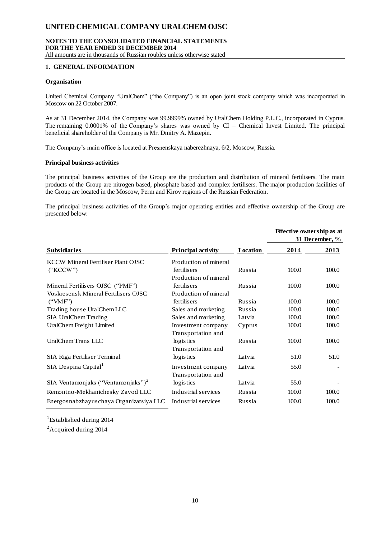#### **NOTES TO THE CONSOLIDATED FINANCIAL STATEMENTS FOR THE YEAR ENDED 31 DECEMBER 2014** All amounts are in thousands of Russian roubles unless otherwise stated

#### **1. GENERAL INFORMATION**

#### **Organisation**

United Chemical Company "UralChem" ("the Company") is an open joint stock company which was incorporated in Moscow on 22 October 2007.

As at 31 December 2014, the Company was 99.9999% owned by UralChem Holding P.L.C., incorporated in Cyprus. The remaining 0.0001% of the Company's shares was owned by CI – Chemical Invest Limited. The principal beneficial shareholder of the Company is Mr. Dmitry A. Mazepin.

The Company's main office is located at Presnenskaya naberezhnaya, 6/2, Moscow, Russia.

#### **Principal business activities**

The principal business activities of the Group are the production and distribution of mineral fertilisers. The main products of the Group are nitrogen based, phosphate based and complex fertilisers. The major production facilities of the Group are located in the Moscow, Perm and Kirov regions of the Russian Federation.

The principal business activities of the Group's major operating entities and effective ownership of the Group are presented below:

|                                                |                           |          | <b>Effective ownership as at</b> | 31 December, % |
|------------------------------------------------|---------------------------|----------|----------------------------------|----------------|
| <b>Subsidiaries</b>                            | <b>Principal activity</b> | Location | 2014                             | 2013           |
| <b>KCCW Mineral Fertiliser Plant OJSC</b>      | Production of mineral     |          |                                  |                |
| ("KCCW")                                       | fertilisers               | Russia   | 100.0                            | 100.0          |
|                                                | Production of mineral     |          |                                  |                |
| Mineral Fertilisers OJSC ("PMF")               | fertilisers               | Russia   | 100.0                            | 100.0          |
| Voskresensk Mineral Fertilisers OJSC           | Production of mineral     |          |                                  |                |
| $(^{\circ}VMF")$                               | fertilisers               | Russia   | 100.0                            | 100.0          |
| Trading house UralChem LLC                     | Sales and marketing       | Russia   | 100.0                            | 100.0          |
| <b>SIA UralChem Trading</b>                    | Sales and marketing       | Latvia   | 100.0                            | 100.0          |
| UralChem Freight Limited                       | Investment company        | Cyprus   | 100.0                            | 100.0          |
|                                                | Transportation and        |          |                                  |                |
| UralChem Trans LLC                             | logistics                 | Russia   | 100.0                            | 100.0          |
|                                                | Transportation and        |          |                                  |                |
| SIA Riga Fertiliser Terminal                   | logistics                 | Latvia   | 51.0                             | 51.0           |
| SIA Despina Capital                            | Investment company        | Latvia   | 55.0                             |                |
|                                                | Transportation and        |          |                                  |                |
| SIA Ventamonjaks ("Ventamonjaks") <sup>2</sup> | logistics                 | Latvia   | 55.0                             |                |
| Remontno-Mekhanichesky Zavod LLC               | Industrial services       | Russia   | 100.0                            | 100.0          |
| Energosnabzhayuschaya Organizatsiya LLC        | Industrial services       | Russia   | 100.0                            | 100.0          |

<sup>1</sup>Established during 2014

<sup>2</sup>Acquired during 2014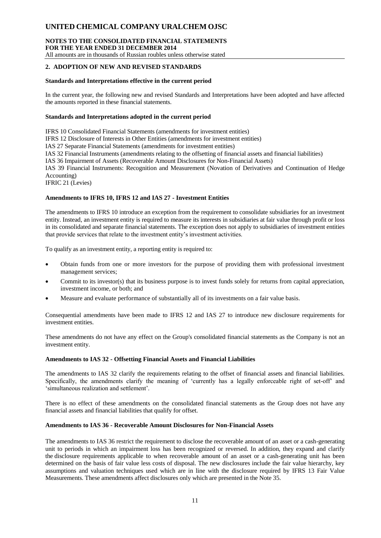#### **NOTES TO THE CONSOLIDATED FINANCIAL STATEMENTS FOR THE YEAR ENDED 31 DECEMBER 2014** All amounts are in thousands of Russian roubles unless otherwise stated

### **2. ADOPTION OF NEW AND REVISED STANDARDS**

#### **Standards and Interpretations effective in the current period**

In the current year, the following new and revised Standards and Interpretations have been adopted and have affected the amounts reported in these financial statements.

#### **Standards and Interpretations adopted in the current period**

IFRS 10 Consolidated Financial Statements (amendments for investment entities) IFRS 12 Disclosure of Interests in Other Entities (amendments for investment entities) IAS 27 Separate Financial Statements (amendments for investment entities) IAS 32 Financial Instruments (amendments relating to the offsetting of financial assets and financial liabilities) IAS 36 Impairment of Assets (Recoverable Amount Disclosures for Non-Financial Assets) IAS 39 Financial Instruments: Recognition and Measurement (Novation of Derivatives and Continuation of Hedge Accounting) IFRIC 21 (Levies)

#### **Amendments to IFRS 10, IFRS 12 and IAS 27 - Investment Entities**

The amendments to IFRS 10 introduce an exception from the requirement to consolidate subsidiaries for an investment entity. Instead, an investment entity is required to measure its interests in subsidiaries at fair value through profit or loss in its consolidated and separate financial statements. The exception does not apply to subsidiaries of investment entities that provide services that relate to the investment entity's investment activities.

To qualify as an investment entity, a reporting entity is required to:

- Obtain funds from one or more investors for the purpose of providing them with professional investment management services;
- Commit to its investor(s) that its business purpose is to invest funds solely for returns from capital appreciation, investment income, or both; and
- Measure and evaluate performance of substantially all of its investments on a fair value basis.

Consequential amendments have been made to IFRS 12 and IAS 27 to introduce new disclosure requirements for investment entities.

These amendments do not have any effect on the Group's consolidated financial statements as the Company is not an investment entity.

#### **Amendments to IAS 32 - Offsetting Financial Assets and Financial Liabilities**

The amendments to IAS 32 clarify the requirements relating to the offset of financial assets and financial liabilities. Specifically, the amendments clarify the meaning of 'currently has a legally enforceable right of set-off' and 'simultaneous realization and settlement'.

There is no effect of these amendments on the consolidated financial statements as the Group does not have any financial assets and financial liabilities that qualify for offset.

#### **Amendments to IAS 36 - Recoverable Amount Disclosures for Non-Financial Assets**

The amendments to IAS 36 restrict the requirement to disclose the recoverable amount of an asset or a cash-generating unit to periods in which an impairment loss has been recognized or reversed. In addition, they expand and clarify the disclosure requirements applicable to when recoverable amount of an asset or a cash-generating unit has been determined on the basis of fair value less costs of disposal. The new disclosures include the fair value hierarchy, key assumptions and valuation techniques used which are in line with the disclosure required by IFRS 13 Fair Value Measurements. These amendments affect disclosures only which are presented in the Note 35.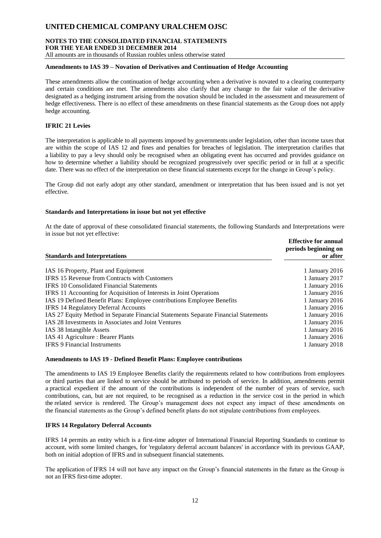### **NOTES TO THE CONSOLIDATED FINANCIAL STATEMENTS FOR THE YEAR ENDED 31 DECEMBER 2014**

All amounts are in thousands of Russian roubles unless otherwise stated

#### **Amendments to IAS 39 – Novation of Derivatives and Continuation of Hedge Accounting**

These amendments allow the continuation of hedge accounting when a derivative is novated to a clearing counterparty and certain conditions are met. The amendments also clarify that any change to the fair value of the derivative designated as a hedging instrument arising from the novation should be included in the assessment and measurement of hedge effectiveness. There is no effect of these amendments on these financial statements as the Group does not apply hedge accounting.

#### **IFRIC 21 Levies**

The interpretation is applicable to all payments imposed by governments under legislation, other than income taxes that are within the scope of IAS 12 and fines and penalties for breaches of legislation. The interpretation clarifies that a liability to pay a levy should only be recognised when an obligating event has occurred and provides guidance on how to determine whether a liability should be recognized progressively over specific period or in full at a specific date. There was no effect of the interpretation on these financial statements except for the change in Group's policy.

The Group did not early adopt any other standard, amendment or interpretation that has been issued and is not yet effective.

#### **Standards and Interpretations in issue but not yet effective**

At the date of approval of these consolidated financial statements, the following Standards and Interpretations were in issue but not yet effective:

|                                                                                     | <b>Effective for annual</b><br>periods beginning on |
|-------------------------------------------------------------------------------------|-----------------------------------------------------|
| <b>Standards and Interpretations</b>                                                | or after                                            |
| IAS 16 Property, Plant and Equipment                                                | 1 January 2016                                      |
| <b>IFRS 15 Revenue from Contracts with Customers</b>                                | 1 January 2017                                      |
| <b>IFRS</b> 10 Consolidated Financial Statements                                    | 1 January 2016                                      |
| IFRS 11 Accounting for Acquisition of Interests in Joint Operations                 | 1 January 2016                                      |
| IAS 19 Defined Benefit Plans: Employee contributions Employee Benefits              | 1 January 2016                                      |
| <b>IFRS 14 Regulatory Deferral Accounts</b>                                         | 1 January 2016                                      |
| IAS 27 Equity Method in Separate Financial Statements Separate Financial Statements | 1 January 2016                                      |
| IAS 28 Investments in Associates and Joint Ventures                                 | 1 January 2016                                      |
| IAS 38 Intangible Assets                                                            | 1 January 2016                                      |
| IAS 41 Agriculture : Bearer Plants                                                  | 1 January 2016                                      |
| <b>IFRS 9 Financial Instruments</b>                                                 | 1 January 2018                                      |

#### **Amendments to IAS 19 - Defined Benefit Plans: Employee contributions**

The amendments to IAS 19 Employee Benefits clarify the requirements related to how contributions from employees or third parties that are linked to service should be attributed to periods of service. In addition, amendments permit a practical expedient if the amount of the contributions is independent of the number of years of service, such contributions, can, but are not required, to be recognised as a reduction in the service cost in the period in which the related service is rendered. The Group's management does not expect any impact of these amendments on the financial statements as the Group's defined benefit plans do not stipulate contributions from employees.

#### **IFRS 14 Regulatory Deferral Accounts**

IFRS 14 permits an entity which is a first-time adopter of International Financial Reporting Standards to continue to account, with some limited changes, for 'regulatory deferral account balances' in accordance with its previous GAAP, both on initial adoption of IFRS and in subsequent financial statements.

The application of IFRS 14 will not have any impact on the Group's financial statements in the future as the Group is not an IFRS first-time adopter.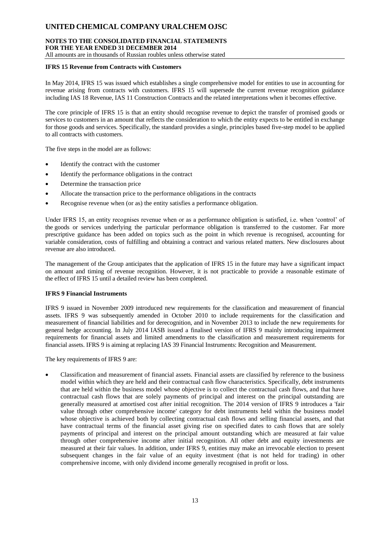#### **NOTES TO THE CONSOLIDATED FINANCIAL STATEMENTS FOR THE YEAR ENDED 31 DECEMBER 2014** All amounts are in thousands of Russian roubles unless otherwise stated

#### **IFRS 15 Revenue from Contracts with Customers**

In May 2014, IFRS 15 was issued which establishes a single comprehensive model for entities to use in accounting for revenue arising from contracts with customers. IFRS 15 will supersede the current revenue recognition guidance including IAS 18 Revenue, IAS 11 Construction Contracts and the related interpretations when it becomes effective.

The core principle of IFRS 15 is that an entity should recognise revenue to depict the transfer of promised goods or services to customers in an amount that reflects the consideration to which the entity expects to be entitled in exchange for those goods and services. Specifically, the standard provides a single, principles based five-step model to be applied to all contracts with customers.

The five steps in the model are as follows:

- Identify the contract with the customer
- Identify the performance obligations in the contract
- Determine the transaction price
- Allocate the transaction price to the performance obligations in the contracts
- Recognise revenue when (or as) the entity satisfies a performance obligation.

Under IFRS 15, an entity recognises revenue when or as a performance obligation is satisfied, i.e. when 'control' of the goods or services underlying the particular performance obligation is transferred to the customer. Far more prescriptive guidance has been added on topics such as the point in which revenue is recognised, accounting for variable consideration, costs of fulfilling and obtaining a contract and various related matters. New disclosures about revenue are also introduced.

The management of the Group anticipates that the application of IFRS 15 in the future may have a significant impact on amount and timing of revenue recognition. However, it is not practicable to provide a reasonable estimate of the effect of IFRS 15 until a detailed review has been completed.

#### **IFRS 9 Financial Instruments**

IFRS 9 issued in November 2009 introduced new requirements for the classification and measurement of financial assets. IFRS 9 was subsequently amended in October 2010 to include requirements for the classification and measurement of financial liabilities and for derecognition, and in November 2013 to include the new requirements for general hedge accounting. In July 2014 IASB issued a finalised version of IFRS 9 mainly introducing impairment requirements for financial assets and limited amendments to the classification and measurement requirements for financial assets. IFRS 9 is aiming at replacing IAS 39 Financial Instruments: Recognition and Measurement.

The key requirements of IFRS 9 are:

 Classification and measurement of financial assets. Financial assets are classified by reference to the business model within which they are held and their contractual cash flow characteristics. Specifically, debt instruments that are held within the business model whose objective is to collect the contractual cash flows, and that have contractual cash flows that are solely payments of principal and interest on the principal outstanding are generally measured at amortised cost after initial recognition. The 2014 version of IFRS 9 introduces a 'fair value through other comprehensive income' category for debt instruments held within the business model whose objective is achieved both by collecting contractual cash flows and selling financial assets, and that have contractual terms of the financial asset giving rise on specified dates to cash flows that are solely payments of principal and interest on the principal amount outstanding which are measured at fair value through other comprehensive income after initial recognition. All other debt and equity investments are measured at their fair values. In addition, under IFRS 9, entities may make an irrevocable election to present subsequent changes in the fair value of an equity investment (that is not held for trading) in other comprehensive income, with only dividend income generally recognised in profit or loss.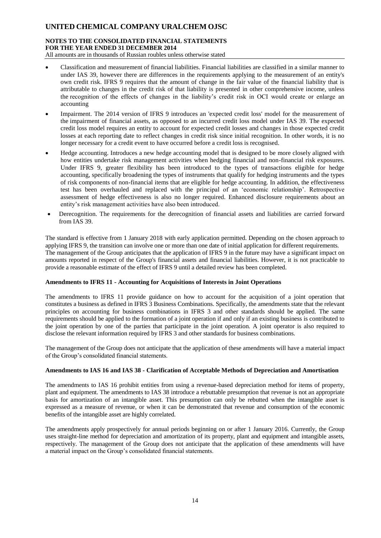#### **NOTES TO THE CONSOLIDATED FINANCIAL STATEMENTS FOR THE YEAR ENDED 31 DECEMBER 2014** All amounts are in thousands of Russian roubles unless otherwise stated

- Classification and measurement of financial liabilities. Financial liabilities are classified in a similar manner to under IAS 39, however there are differences in the requirements applying to the measurement of an entity's own credit risk. IFRS 9 requires that the amount of change in the fair value of the financial liability that is attributable to changes in the credit risk of that liability is presented in other comprehensive income, unless the recognition of the effects of changes in the liability's credit risk in OCI would create or enlarge an accounting
- Impairment. The 2014 version of IFRS 9 introduces an 'expected credit loss' model for the measurement of the impairment of financial assets, as opposed to an incurred credit loss model under IAS 39. The expected credit loss model requires an entity to account for expected credit losses and changes in those expected credit losses at each reporting date to reflect changes in credit risk since initial recognition. In other words, it is no longer necessary for a credit event to have occurred before a credit loss is recognised.
- Hedge accounting. Introduces a new hedge accounting model that is designed to be more closely aligned with how entities undertake risk management activities when hedging financial and non-financial risk exposures. Under IFRS 9, greater flexibility has been introduced to the types of transactions eligible for hedge accounting, specifically broadening the types of instruments that qualify for hedging instruments and the types of risk components of non-financial items that are eligible for hedge accounting. In addition, the effectiveness test has been overhauled and replaced with the principal of an 'economic relationship'. Retrospective assessment of hedge effectiveness is also no longer required. Enhanced disclosure requirements about an entity's risk management activities have also been introduced.
- Derecognition. The requirements for the derecognition of financial assets and liabilities are carried forward from IAS 39.

The standard is effective from 1 January 2018 with early application permitted. Depending on the chosen approach to applying IFRS 9, the transition can involve one or more than one date of initial application for different requirements. The management of the Group anticipates that the application of IFRS 9 in the future may have a significant impact on amounts reported in respect of the Group's financial assets and financial liabilities. However, it is not practicable to provide a reasonable estimate of the effect of IFRS 9 until a detailed review has been completed.

#### **Amendments to IFRS 11 - Accounting for Acquisitions of Interests in Joint Operations**

The amendments to IFRS 11 provide guidance on how to account for the acquisition of a joint operation that constitutes a business as defined in IFRS 3 Business Combinations. Specifically, the amendments state that the relevant principles on accounting for business combinations in IFRS 3 and other standards should be applied. The same requirements should be applied to the formation of a joint operation if and only if an existing business is contributed to the joint operation by one of the parties that participate in the joint operation. A joint operator is also required to disclose the relevant information required by IFRS 3 and other standards for business combinations.

The management of the Group does not anticipate that the application of these amendments will have a material impact of the Group's consolidated financial statements.

#### **Amendments to IAS 16 and IAS 38 - Clarification of Acceptable Methods of Depreciation and Amortisation**

The amendments to IAS 16 prohibit entities from using a revenue-based depreciation method for items of property, plant and equipment. The amendments to IAS 38 introduce a rebuttable presumption that revenue is not an appropriate basis for amortization of an intangible asset. This presumption can only be rebutted when the intangible asset is expressed as a measure of revenue, or when it can be demonstrated that revenue and consumption of the economic benefits of the intangible asset are highly correlated.

The amendments apply prospectively for annual periods beginning on or after 1 January 2016. Currently, the Group uses straight-line method for depreciation and amortization of its property, plant and equipment and intangible assets, respectively. The management of the Group does not anticipate that the application of these amendments will have a material impact on the Group's consolidated financial statements.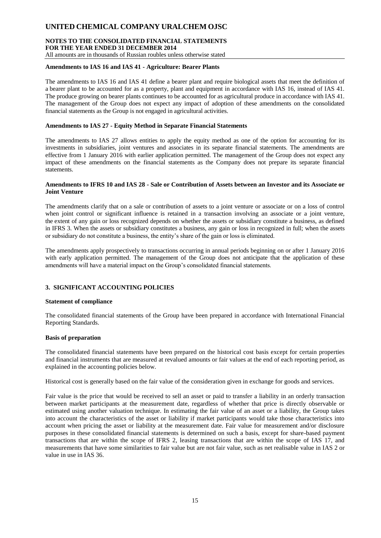#### **NOTES TO THE CONSOLIDATED FINANCIAL STATEMENTS FOR THE YEAR ENDED 31 DECEMBER 2014** All amounts are in thousands of Russian roubles unless otherwise stated

#### **Amendments to IAS 16 and IAS 41 - Agriculture: Bearer Plants**

The amendments to IAS 16 and IAS 41 define a bearer plant and require biological assets that meet the definition of a bearer plant to be accounted for as a property, plant and equipment in accordance with IAS 16, instead of IAS 41. The produce growing on bearer plants continues to be accounted for as agricultural produce in accordance with IAS 41. The management of the Group does not expect any impact of adoption of these amendments on the consolidated financial statements as the Group is not engaged in agricultural activities.

#### **Amendments to IAS 27 - Equity Method in Separate Financial Statements**

The amendments to IAS 27 allows entities to apply the equity method as one of the option for accounting for its investments in subsidiaries, joint ventures and associates in its separate financial statements. The amendments are effective from 1 January 2016 with earlier application permitted. The management of the Group does not expect any impact of these amendments on the financial statements as the Company does not prepare its separate financial statements.

#### **Amendments to IFRS 10 and IAS 28 - Sale or Contribution of Assets between an Investor and its Associate or Joint Venture**

The amendments clarify that on a sale or contribution of assets to a joint venture or associate or on a loss of control when joint control or significant influence is retained in a transaction involving an associate or a joint venture, the extent of any gain or loss recognized depends on whether the assets or subsidiary constitute a business, as defined in IFRS 3. When the assets or subsidiary constitutes a business, any gain or loss in recognized in full; when the assets or subsidiary do not constitute a business, the entity's share of the gain or loss is eliminated.

The amendments apply prospectively to transactions occurring in annual periods beginning on or after 1 January 2016 with early application permitted. The management of the Group does not anticipate that the application of these amendments will have a material impact on the Group's consolidated financial statements.

#### **3. SIGNIFICANT ACCOUNTING POLICIES**

#### **Statement of compliance**

The consolidated financial statements of the Group have been prepared in accordance with International Financial Reporting Standards.

#### **Basis of preparation**

The consolidated financial statements have been prepared on the historical cost basis except for certain properties and financial instruments that are measured at revalued amounts or fair values at the end of each reporting period, as explained in the accounting policies below.

Historical cost is generally based on the fair value of the consideration given in exchange for goods and services.

Fair value is the price that would be received to sell an asset or paid to transfer a liability in an orderly transaction between market participants at the measurement date, regardless of whether that price is directly observable or estimated using another valuation technique. In estimating the fair value of an asset or a liability, the Group takes into account the characteristics of the asset or liability if market participants would take those characteristics into account when pricing the asset or liability at the measurement date. Fair value for measurement and/or disclosure purposes in these consolidated financial statements is determined on such a basis, except for share-based payment transactions that are within the scope of IFRS 2, leasing transactions that are within the scope of IAS 17, and measurements that have some similarities to fair value but are not fair value, such as net realisable value in IAS 2 or value in use in IAS 36.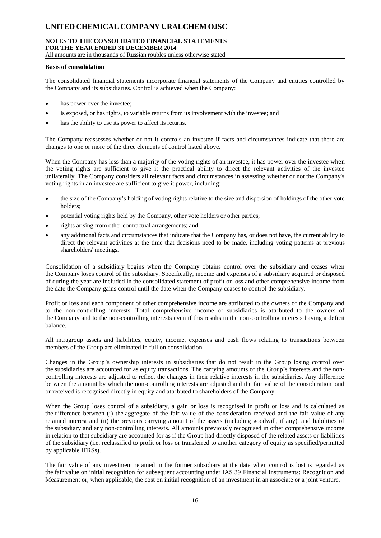#### **NOTES TO THE CONSOLIDATED FINANCIAL STATEMENTS FOR THE YEAR ENDED 31 DECEMBER 2014** All amounts are in thousands of Russian roubles unless otherwise stated

#### **Basis of consolidation**

The consolidated financial statements incorporate financial statements of the Company and entities controlled by the Company and its subsidiaries. Control is achieved when the Company:

- has power over the investee;
- is exposed, or has rights, to variable returns from its involvement with the investee; and
- has the ability to use its power to affect its returns.

The Company reassesses whether or not it controls an investee if facts and circumstances indicate that there are changes to one or more of the three elements of control listed above.

When the Company has less than a majority of the voting rights of an investee, it has power over the investee when the voting rights are sufficient to give it the practical ability to direct the relevant activities of the investee unilaterally. The Company considers all relevant facts and circumstances in assessing whether or not the Company's voting rights in an investee are sufficient to give it power, including:

- the size of the Company's holding of voting rights relative to the size and dispersion of holdings of the other vote holders;
- potential voting rights held by the Company, other vote holders or other parties;
- rights arising from other contractual arrangements; and
- any additional facts and circumstances that indicate that the Company has, or does not have, the current ability to direct the relevant activities at the time that decisions need to be made, including voting patterns at previous shareholders' meetings.

Consolidation of a subsidiary begins when the Company obtains control over the subsidiary and ceases when the Company loses control of the subsidiary. Specifically, income and expenses of a subsidiary acquired or disposed of during the year are included in the consolidated statement of profit or loss and other comprehensive income from the date the Company gains control until the date when the Company ceases to control the subsidiary.

Profit or loss and each component of other comprehensive income are attributed to the owners of the Company and to the non-controlling interests. Total comprehensive income of subsidiaries is attributed to the owners of the Company and to the non-controlling interests even if this results in the non-controlling interests having a deficit balance.

All intragroup assets and liabilities, equity, income, expenses and cash flows relating to transactions between members of the Group are eliminated in full on consolidation.

Changes in the Group's ownership interests in subsidiaries that do not result in the Group losing control over the subsidiaries are accounted for as equity transactions. The carrying amounts of the Group's interests and the noncontrolling interests are adjusted to reflect the changes in their relative interests in the subsidiaries. Any difference between the amount by which the non-controlling interests are adjusted and the fair value of the consideration paid or received is recognised directly in equity and attributed to shareholders of the Company.

When the Group loses control of a subsidiary, a gain or loss is recognised in profit or loss and is calculated as the difference between (i) the aggregate of the fair value of the consideration received and the fair value of any retained interest and (ii) the previous carrying amount of the assets (including goodwill, if any), and liabilities of the subsidiary and any non-controlling interests. All amounts previously recognised in other comprehensive income in relation to that subsidiary are accounted for as if the Group had directly disposed of the related assets or liabilities of the subsidiary (i.e. reclassified to profit or loss or transferred to another category of equity as specified/permitted by applicable IFRSs).

The fair value of any investment retained in the former subsidiary at the date when control is lost is regarded as the fair value on initial recognition for subsequent accounting under IAS 39 Financial Instruments: Recognition and Measurement or, when applicable, the cost on initial recognition of an investment in an associate or a joint venture.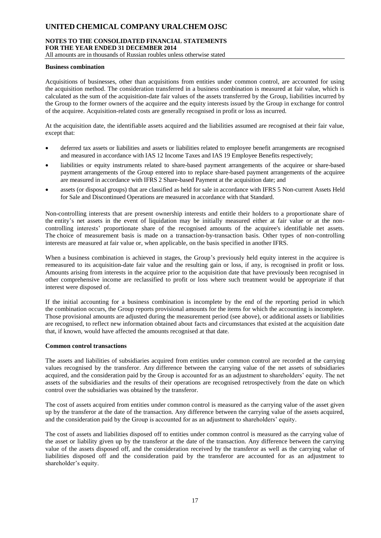#### **NOTES TO THE CONSOLIDATED FINANCIAL STATEMENTS FOR THE YEAR ENDED 31 DECEMBER 2014** All amounts are in thousands of Russian roubles unless otherwise stated

#### **Business combination**

Acquisitions of businesses, other than acquisitions from entities under common control, are accounted for using the acquisition method. The consideration transferred in a business combination is measured at fair value, which is calculated as the sum of the acquisition-date fair values of the assets transferred by the Group, liabilities incurred by the Group to the former owners of the acquiree and the equity interests issued by the Group in exchange for control of the acquiree. Acquisition-related costs are generally recognised in profit or loss as incurred.

At the acquisition date, the identifiable assets acquired and the liabilities assumed are recognised at their fair value, except that:

- deferred tax assets or liabilities and assets or liabilities related to employee benefit arrangements are recognised and measured in accordance with IAS 12 Income Taxes and IAS 19 Employee Benefits respectively;
- liabilities or equity instruments related to share-based payment arrangements of the acquiree or share-based payment arrangements of the Group entered into to replace share-based payment arrangements of the acquiree are measured in accordance with IFRS 2 Share-based Payment at the acquisition date; and
- assets (or disposal groups) that are classified as held for sale in accordance with IFRS 5 Non-current Assets Held for Sale and Discontinued Operations are measured in accordance with that Standard.

Non-controlling interests that are present ownership interests and entitle their holders to a proportionate share of the entity's net assets in the event of liquidation may be initially measured either at fair value or at the noncontrolling interests' proportionate share of the recognised amounts of the acquiree's identifiable net assets. The choice of measurement basis is made on a transaction-by-transaction basis. Other types of non-controlling interests are measured at fair value or, when applicable, on the basis specified in another IFRS.

When a business combination is achieved in stages, the Group's previously held equity interest in the acquiree is remeasured to its acquisition-date fair value and the resulting gain or loss, if any, is recognised in profit or loss. Amounts arising from interests in the acquiree prior to the acquisition date that have previously been recognised in other comprehensive income are reclassified to profit or loss where such treatment would be appropriate if that interest were disposed of.

If the initial accounting for a business combination is incomplete by the end of the reporting period in which the combination occurs, the Group reports provisional amounts for the items for which the accounting is incomplete. Those provisional amounts are adjusted during the measurement period (see above), or additional assets or liabilities are recognised, to reflect new information obtained about facts and circumstances that existed at the acquisition date that, if known, would have affected the amounts recognised at that date.

#### **Common control transactions**

The assets and liabilities of subsidiaries acquired from entities under common control are recorded at the carrying values recognised by the transferor. Any difference between the carrying value of the net assets of subsidiaries acquired, and the consideration paid by the Group is accounted for as an adjustment to shareholders' equity. The net assets of the subsidiaries and the results of their operations are recognised retrospectively from the date on which control over the subsidiaries was obtained by the transferor.

The cost of assets acquired from entities under common control is measured as the carrying value of the asset given up by the transferor at the date of the transaction. Any difference between the carrying value of the assets acquired, and the consideration paid by the Group is accounted for as an adjustment to shareholders' equity.

The cost of assets and liabilities disposed off to entities under common control is measured as the carrying value of the asset or liability given up by the transferor at the date of the transaction. Any difference between the carrying value of the assets disposed off, and the consideration received by the transferor as well as the carrying value of liabilities disposed off and the consideration paid by the transferor are accounted for as an adjustment to shareholder's equity.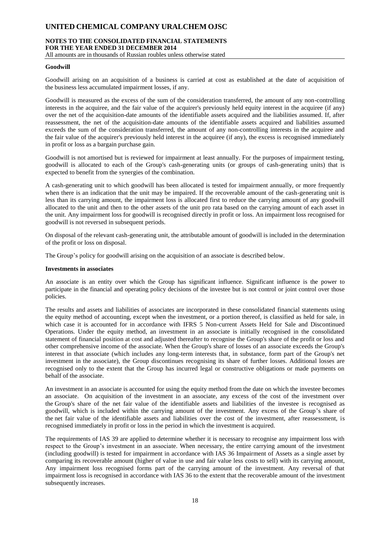#### **NOTES TO THE CONSOLIDATED FINANCIAL STATEMENTS FOR THE YEAR ENDED 31 DECEMBER 2014** All amounts are in thousands of Russian roubles unless otherwise stated

#### **Goodwill**

Goodwill arising on an acquisition of a business is carried at cost as established at the date of acquisition of the business less accumulated impairment losses, if any.

Goodwill is measured as the excess of the sum of the consideration transferred, the amount of any non-controlling interests in the acquiree, and the fair value of the acquirer's previously held equity interest in the acquiree (if any) over the net of the acquisition-date amounts of the identifiable assets acquired and the liabilities assumed. If, after reassessment, the net of the acquisition-date amounts of the identifiable assets acquired and liabilities assumed exceeds the sum of the consideration transferred, the amount of any non-controlling interests in the acquiree and the fair value of the acquirer's previously held interest in the acquiree (if any), the excess is recognised immediately in profit or loss as a bargain purchase gain.

Goodwill is not amortised but is reviewed for impairment at least annually. For the purposes of impairment testing, goodwill is allocated to each of the Group's cash-generating units (or groups of cash-generating units) that is expected to benefit from the synergies of the combination.

A cash-generating unit to which goodwill has been allocated is tested for impairment annually, or more frequently when there is an indication that the unit may be impaired. If the recoverable amount of the cash-generating unit is less than its carrying amount, the impairment loss is allocated first to reduce the carrying amount of any goodwill allocated to the unit and then to the other assets of the unit pro rata based on the carrying amount of each asset in the unit. Any impairment loss for goodwill is recognised directly in profit or loss. An impairment loss recognised for goodwill is not reversed in subsequent periods.

On disposal of the relevant cash-generating unit, the attributable amount of goodwill is included in the determination of the profit or loss on disposal.

The Group's policy for goodwill arising on the acquisition of an associate is described below.

#### **Investments in associates**

An associate is an entity over which the Group has significant influence. Significant influence is the power to participate in the financial and operating policy decisions of the investee but is not control or joint control over those policies.

The results and assets and liabilities of associates are incorporated in these consolidated financial statements using the equity method of accounting, except when the investment, or a portion thereof, is classified as held for sale, in which case it is accounted for in accordance with IFRS 5 Non-current Assets Held for Sale and Discontinued Operations. Under the equity method, an investment in an associate is initially recognised in the consolidated statement of financial position at cost and adjusted thereafter to recognise the Group's share of the profit or loss and other comprehensive income of the associate. When the Group's share of losses of an associate exceeds the Group's interest in that associate (which includes any long-term interests that, in substance, form part of the Group's net investment in the associate), the Group discontinues recognising its share of further losses. Additional losses are recognised only to the extent that the Group has incurred legal or constructive obligations or made payments on behalf of the associate.

An investment in an associate is accounted for using the equity method from the date on which the investee becomes an associate. On acquisition of the investment in an associate, any excess of the cost of the investment over the Group's share of the net fair value of the identifiable assets and liabilities of the investee is recognised as goodwill, which is included within the carrying amount of the investment. Any excess of the Group's share of the net fair value of the identifiable assets and liabilities over the cost of the investment, after reassessment, is recognised immediately in profit or loss in the period in which the investment is acquired.

The requirements of IAS 39 are applied to determine whether it is necessary to recognise any impairment loss with respect to the Group's investment in an associate. When necessary, the entire carrying amount of the investment (including goodwill) is tested for impairment in accordance with IAS 36 Impairment of Assets as a single asset by comparing its recoverable amount (higher of value in use and fair value less costs to sell) with its carrying amount, Any impairment loss recognised forms part of the carrying amount of the investment. Any reversal of that impairment loss is recognised in accordance with IAS 36 to the extent that the recoverable amount of the investment subsequently increases.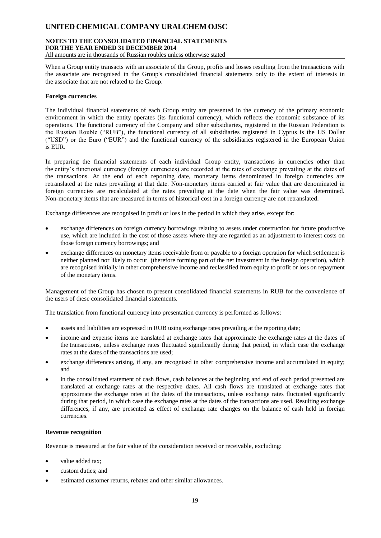#### **NOTES TO THE CONSOLIDATED FINANCIAL STATEMENTS FOR THE YEAR ENDED 31 DECEMBER 2014** All amounts are in thousands of Russian roubles unless otherwise stated

When a Group entity transacts with an associate of the Group, profits and losses resulting from the transactions with the associate are recognised in the Group's consolidated financial statements only to the extent of interests in

#### **Foreign currencies**

the associate that are not related to the Group.

The individual financial statements of each Group entity are presented in the currency of the primary economic environment in which the entity operates (its functional currency), which reflects the economic substance of its operations. The functional currency of the Company and other subsidiaries, registered in the Russian Federation is the Russian Rouble ("RUB"), the functional currency of all subsidiaries registered in Cyprus is the US Dollar ("USD") or the Euro ("EUR") and the functional currency of the subsidiaries registered in the European Union is EUR.

In preparing the financial statements of each individual Group entity, transactions in currencies other than the entity's functional currency (foreign currencies) are recorded at the rates of exchange prevailing at the dates of the transactions. At the end of each reporting date, monetary items denominated in foreign currencies are retranslated at the rates prevailing at that date. Non-monetary items carried at fair value that are denominated in foreign currencies are recalculated at the rates prevailing at the date when the fair value was determined. Non-monetary items that are measured in terms of historical cost in a foreign currency are not retranslated.

Exchange differences are recognised in profit or loss in the period in which they arise, except for:

- exchange differences on foreign currency borrowings relating to assets under construction for future productive use, which are included in the cost of those assets where they are regarded as an adjustment to interest costs on those foreign currency borrowings; and
- exchange differences on monetary items receivable from or payable to a foreign operation for which settlement is neither planned nor likely to occur (therefore forming part of the net investment in the foreign operation), which are recognised initially in other comprehensive income and reclassified from equity to profit or loss on repayment of the monetary items.

Management of the Group has chosen to present consolidated financial statements in RUB for the convenience of the users of these consolidated financial statements.

The translation from functional currency into presentation currency is performed as follows:

- assets and liabilities are expressed in RUB using exchange rates prevailing at the reporting date;
- income and expense items are translated at exchange rates that approximate the exchange rates at the dates of the transactions, unless exchange rates fluctuated significantly during that period, in which case the exchange rates at the dates of the transactions are used;
- exchange differences arising, if any, are recognised in other comprehensive income and accumulated in equity; and
- in the consolidated statement of cash flows, cash balances at the beginning and end of each period presented are translated at exchange rates at the respective dates. All cash flows are translated at exchange rates that approximate the exchange rates at the dates of the transactions, unless exchange rates fluctuated significantly during that period, in which case the exchange rates at the dates of the transactions are used. Resulting exchange differences, if any, are presented as effect of exchange rate changes on the balance of cash held in foreign currencies.

#### **Revenue recognition**

Revenue is measured at the fair value of the consideration received or receivable, excluding:

- value added tax;
- custom duties; and
- estimated customer returns, rebates and other similar allowances.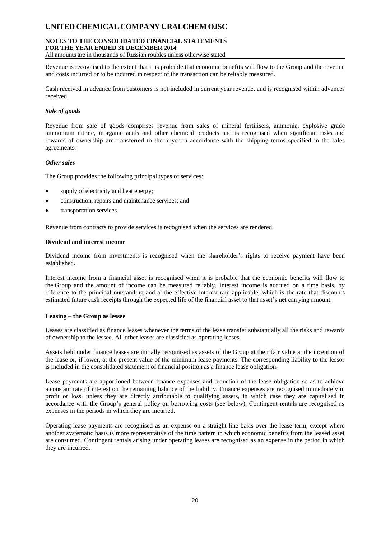### **NOTES TO THE CONSOLIDATED FINANCIAL STATEMENTS FOR THE YEAR ENDED 31 DECEMBER 2014**

All amounts are in thousands of Russian roubles unless otherwise stated

Revenue is recognised to the extent that it is probable that economic benefits will flow to the Group and the revenue and costs incurred or to be incurred in respect of the transaction can be reliably measured.

Cash received in advance from customers is not included in current year revenue, and is recognised within advances received.

#### *Sale of goods*

Revenue from sale of goods comprises revenue from sales of mineral fertilisers, ammonia, explosive grade ammonium nitrate, inorganic acids and other chemical products and is recognised when significant risks and rewards of ownership are transferred to the buyer in accordance with the shipping terms specified in the sales agreements.

#### *Other sales*

The Group provides the following principal types of services:

- supply of electricity and heat energy;
- construction, repairs and maintenance services; and
- transportation services.

Revenue from contracts to provide services is recognised when the services are rendered.

#### **Dividend and interest income**

Dividend income from investments is recognised when the shareholder's rights to receive payment have been established.

Interest income from a financial asset is recognised when it is probable that the economic benefits will flow to the Group and the amount of income can be measured reliably. Interest income is accrued on a time basis, by reference to the principal outstanding and at the effective interest rate applicable, which is the rate that discounts estimated future cash receipts through the expected life of the financial asset to that asset's net carrying amount.

#### **Leasing – the Group as lessee**

Leases are classified as finance leases whenever the terms of the lease transfer substantially all the risks and rewards of ownership to the lessee. All other leases are classified as operating leases.

Assets held under finance leases are initially recognised as assets of the Group at their fair value at the inception of the lease or, if lower, at the present value of the minimum lease payments. The corresponding liability to the lessor is included in the consolidated statement of financial position as a finance lease obligation.

Lease payments are apportioned between finance expenses and reduction of the lease obligation so as to achieve a constant rate of interest on the remaining balance of the liability. Finance expenses are recognised immediately in profit or loss, unless they are directly attributable to qualifying assets, in which case they are capitalised in accordance with the Group's general policy on borrowing costs (see below). Contingent rentals are recognised as expenses in the periods in which they are incurred.

Operating lease payments are recognised as an expense on a straight-line basis over the lease term, except where another systematic basis is more representative of the time pattern in which economic benefits from the leased asset are consumed. Contingent rentals arising under operating leases are recognised as an expense in the period in which they are incurred.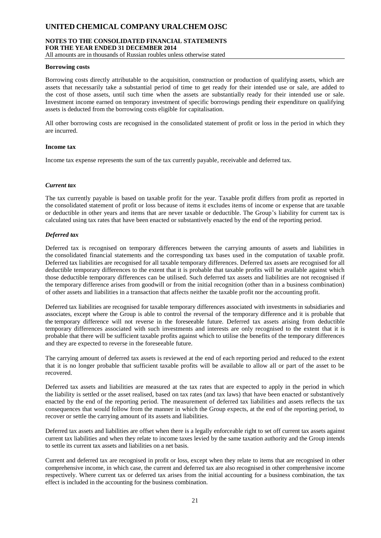#### **NOTES TO THE CONSOLIDATED FINANCIAL STATEMENTS FOR THE YEAR ENDED 31 DECEMBER 2014** All amounts are in thousands of Russian roubles unless otherwise stated

#### **Borrowing costs**

Borrowing costs directly attributable to the acquisition, construction or production of qualifying assets, which are assets that necessarily take a substantial period of time to get ready for their intended use or sale, are added to the cost of those assets, until such time when the assets are substantially ready for their intended use or sale. Investment income earned on temporary investment of specific borrowings pending their expenditure on qualifying assets is deducted from the borrowing costs eligible for capitalisation.

All other borrowing costs are recognised in the consolidated statement of profit or loss in the period in which they are incurred.

#### **Income tax**

Income tax expense represents the sum of the tax currently payable, receivable and deferred tax.

#### *Current tax*

The tax currently payable is based on taxable profit for the year. Taxable profit differs from profit as reported in the consolidated statement of profit or loss because of items it excludes items of income or expense that are taxable or deductible in other years and items that are never taxable or deductible. The Group's liability for current tax is calculated using tax rates that have been enacted or substantively enacted by the end of the reporting period.

#### *Deferred tax*

Deferred tax is recognised on temporary differences between the carrying amounts of assets and liabilities in the consolidated financial statements and the corresponding tax bases used in the computation of taxable profit. Deferred tax liabilities are recognised for all taxable temporary differences. Deferred tax assets are recognised for all deductible temporary differences to the extent that it is probable that taxable profits will be available against which those deductible temporary differences can be utilised. Such deferred tax assets and liabilities are not recognised if the temporary difference arises from goodwill or from the initial recognition (other than in a business combination) of other assets and liabilities in a transaction that affects neither the taxable profit nor the accounting profit.

Deferred tax liabilities are recognised for taxable temporary differences associated with investments in subsidiaries and associates, except where the Group is able to control the reversal of the temporary difference and it is probable that the temporary difference will not reverse in the foreseeable future. Deferred tax assets arising from deductible temporary differences associated with such investments and interests are only recognised to the extent that it is probable that there will be sufficient taxable profits against which to utilise the benefits of the temporary differences and they are expected to reverse in the foreseeable future.

The carrying amount of deferred tax assets is reviewed at the end of each reporting period and reduced to the extent that it is no longer probable that sufficient taxable profits will be available to allow all or part of the asset to be recovered.

Deferred tax assets and liabilities are measured at the tax rates that are expected to apply in the period in which the liability is settled or the asset realised, based on tax rates (and tax laws) that have been enacted or substantively enacted by the end of the reporting period. The measurement of deferred tax liabilities and assets reflects the tax consequences that would follow from the manner in which the Group expects, at the end of the reporting period, to recover or settle the carrying amount of its assets and liabilities.

Deferred tax assets and liabilities are offset when there is a legally enforceable right to set off current tax assets against current tax liabilities and when they relate to income taxes levied by the same taxation authority and the Group intends to settle its current tax assets and liabilities on a net basis.

Current and deferred tax are recognised in profit or loss, except when they relate to items that are recognised in other comprehensive income, in which case, the current and deferred tax are also recognised in other comprehensive income respectively. Where current tax or deferred tax arises from the initial accounting for a business combination, the tax effect is included in the accounting for the business combination.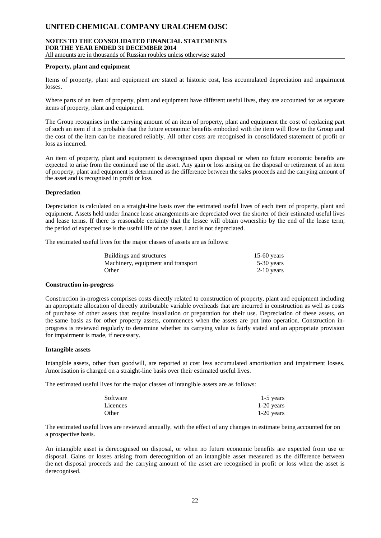#### **NOTES TO THE CONSOLIDATED FINANCIAL STATEMENTS FOR THE YEAR ENDED 31 DECEMBER 2014** All amounts are in thousands of Russian roubles unless otherwise stated

#### **Property, plant and equipment**

Items of property, plant and equipment are stated at historic cost, less accumulated depreciation and impairment losses.

Where parts of an item of property, plant and equipment have different useful lives, they are accounted for as separate items of property, plant and equipment.

The Group recognises in the carrying amount of an item of property, plant and equipment the cost of replacing part of such an item if it is probable that the future economic benefits embodied with the item will flow to the Group and the cost of the item can be measured reliably. All other costs are recognised in consolidated statement of profit or loss as incurred.

An item of property, plant and equipment is derecognised upon disposal or when no future economic benefits are expected to arise from the continued use of the asset. Any gain or loss arising on the disposal or retirement of an item of property, plant and equipment is determined as the difference between the sales proceeds and the carrying amount of the asset and is recognised in profit or loss.

#### **Depreciation**

Depreciation is calculated on a straight-line basis over the estimated useful lives of each item of property, plant and equipment. Assets held under finance lease arrangements are depreciated over the shorter of their estimated useful lives and lease terms. If there is reasonable certainty that the lessee will obtain ownership by the end of the lease term, the period of expected use is the useful life of the asset. Land is not depreciated.

The estimated useful lives for the major classes of assets are as follows:

| Buildings and structures           | 15-60 years  |
|------------------------------------|--------------|
| Machinery, equipment and transport | 5-30 years   |
| Other                              | $2-10$ years |

#### **Construction in-progress**

Construction in-progress comprises costs directly related to construction of property, plant and equipment including an appropriate allocation of directly attributable variable overheads that are incurred in construction as well as costs of purchase of other assets that require installation or preparation for their use. Depreciation of these assets, on the same basis as for other property assets, commences when the assets are put into operation. Construction inprogress is reviewed regularly to determine whether its carrying value is fairly stated and an appropriate provision for impairment is made, if necessary.

#### **Intangible assets**

Intangible assets, other than goodwill, are reported at cost less accumulated amortisation and impairment losses. Amortisation is charged on a straight-line basis over their estimated useful lives.

The estimated useful lives for the major classes of intangible assets are as follows:

| Software | $1-5$ years  |
|----------|--------------|
| Licences | $1-20$ years |
| Other    | $1-20$ years |

The estimated useful lives are reviewed annually, with the effect of any changes in estimate being accounted for on a prospective basis.

An intangible asset is derecognised on disposal, or when no future economic benefits are expected from use or disposal. Gains or losses arising from derecognition of an intangible asset measured as the difference between the net disposal proceeds and the carrying amount of the asset are recognised in profit or loss when the asset is derecognised.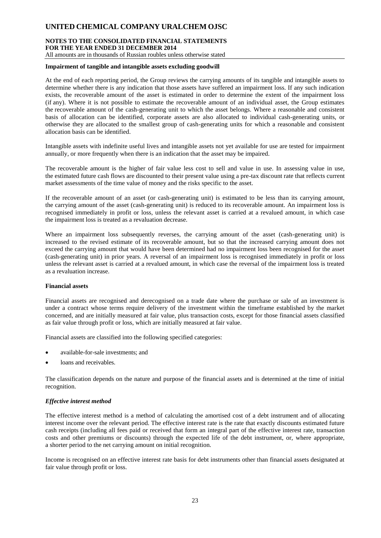### **NOTES TO THE CONSOLIDATED FINANCIAL STATEMENTS FOR THE YEAR ENDED 31 DECEMBER 2014**

#### All amounts are in thousands of Russian roubles unless otherwise stated

#### **Impairment of tangible and intangible assets excluding goodwill**

At the end of each reporting period, the Group reviews the carrying amounts of its tangible and intangible assets to determine whether there is any indication that those assets have suffered an impairment loss. If any such indication exists, the recoverable amount of the asset is estimated in order to determine the extent of the impairment loss (if any). Where it is not possible to estimate the recoverable amount of an individual asset, the Group estimates the recoverable amount of the cash-generating unit to which the asset belongs. Where a reasonable and consistent basis of allocation can be identified, corporate assets are also allocated to individual cash-generating units, or otherwise they are allocated to the smallest group of cash-generating units for which a reasonable and consistent allocation basis can be identified.

Intangible assets with indefinite useful lives and intangible assets not yet available for use are tested for impairment annually, or more frequently when there is an indication that the asset may be impaired.

The recoverable amount is the higher of fair value less cost to sell and value in use. In assessing value in use, the estimated future cash flows are discounted to their present value using a pre-tax discount rate that reflects current market assessments of the time value of money and the risks specific to the asset.

If the recoverable amount of an asset (or cash-generating unit) is estimated to be less than its carrying amount, the carrying amount of the asset (cash-generating unit) is reduced to its recoverable amount. An impairment loss is recognised immediately in profit or loss, unless the relevant asset is carried at a revalued amount, in which case the impairment loss is treated as a revaluation decrease.

Where an impairment loss subsequently reverses, the carrying amount of the asset (cash-generating unit) is increased to the revised estimate of its recoverable amount, but so that the increased carrying amount does not exceed the carrying amount that would have been determined had no impairment loss been recognised for the asset (cash-generating unit) in prior years. A reversal of an impairment loss is recognised immediately in profit or loss unless the relevant asset is carried at a revalued amount, in which case the reversal of the impairment loss is treated as a revaluation increase.

#### **Financial assets**

Financial assets are recognised and derecognised on a trade date where the purchase or sale of an investment is under a contract whose terms require delivery of the investment within the timeframe established by the market concerned, and are initially measured at fair value, plus transaction costs, except for those financial assets classified as fair value through profit or loss, which are initially measured at fair value.

Financial assets are classified into the following specified categories:

- available-for-sale investments; and
- loans and receivables.

The classification depends on the nature and purpose of the financial assets and is determined at the time of initial recognition.

#### *Effective interest method*

The effective interest method is a method of calculating the amortised cost of a debt instrument and of allocating interest income over the relevant period. The effective interest rate is the rate that exactly discounts estimated future cash receipts (including all fees paid or received that form an integral part of the effective interest rate, transaction costs and other premiums or discounts) through the expected life of the debt instrument, or, where appropriate, a shorter period to the net carrying amount on initial recognition.

Income is recognised on an effective interest rate basis for debt instruments other than financial assets designated at fair value through profit or loss.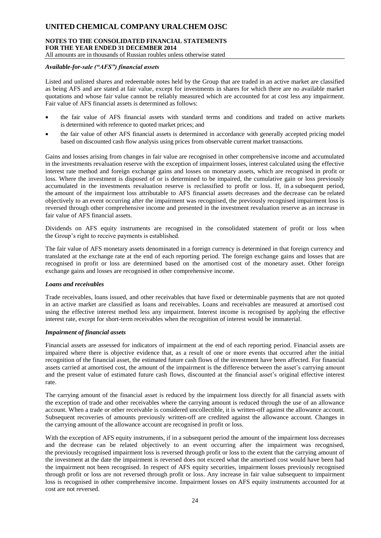### **NOTES TO THE CONSOLIDATED FINANCIAL STATEMENTS FOR THE YEAR ENDED 31 DECEMBER 2014**

### All amounts are in thousands of Russian roubles unless otherwise stated

#### *Available-for-sale ("AFS") financial assets*

Listed and unlisted shares and redeemable notes held by the Group that are traded in an active market are classified as being AFS and are stated at fair value, except for investments in shares for which there are no available market quotations and whose fair value cannot be reliably measured which are accounted for at cost less any impairment. Fair value of AFS financial assets is determined as follows:

- the fair value of AFS financial assets with standard terms and conditions and traded on active markets is determined with reference to quoted market prices; and
- the fair value of other AFS financial assets is determined in accordance with generally accepted pricing model based on discounted cash flow analysis using prices from observable current market transactions.

Gains and losses arising from changes in fair value are recognised in other comprehensive income and accumulated in the investments revaluation reserve with the exception of impairment losses, interest calculated using the effective interest rate method and foreign exchange gains and losses on monetary assets, which are recognised in profit or loss. Where the investment is disposed of or is determined to be impaired, the cumulative gain or loss previously accumulated in the investments revaluation reserve is reclassified to profit or loss. If, in a subsequent period, the amount of the impairment loss attributable to AFS financial assets decreases and the decrease can be related objectively to an event occurring after the impairment was recognised, the previously recognised impairment loss is reversed through other comprehensive income and presented in the investment revaluation reserve as an increase in fair value of AFS financial assets.

Dividends on AFS equity instruments are recognised in the consolidated statement of profit or loss when the Group's right to receive payments is established.

The fair value of AFS monetary assets denominated in a foreign currency is determined in that foreign currency and translated at the exchange rate at the end of each reporting period. The foreign exchange gains and losses that are recognised in profit or loss are determined based on the amortised cost of the monetary asset. Other foreign exchange gains and losses are recognised in other comprehensive income.

#### *Loans and receivables*

Trade receivables, loans issued, and other receivables that have fixed or determinable payments that are not quoted in an active market are classified as loans and receivables. Loans and receivables are measured at amortised cost using the effective interest method less any impairment. Interest income is recognised by applying the effective interest rate, except for short-term receivables when the recognition of interest would be immaterial.

#### *Impairment of financial assets*

Financial assets are assessed for indicators of impairment at the end of each reporting period. Financial assets are impaired where there is objective evidence that, as a result of one or more events that occurred after the initial recognition of the financial asset, the estimated future cash flows of the investment have been affected. For financial assets carried at amortised cost, the amount of the impairment is the difference between the asset's carrying amount and the present value of estimated future cash flows, discounted at the financial asset's original effective interest rate.

The carrying amount of the financial asset is reduced by the impairment loss directly for all financial assets with the exception of trade and other receivables where the carrying amount is reduced through the use of an allowance account. When a trade or other receivable is considered uncollectible, it is written-off against the allowance account. Subsequent recoveries of amounts previously written-off are credited against the allowance account. Changes in the carrying amount of the allowance account are recognised in profit or loss.

With the exception of AFS equity instruments, if in a subsequent period the amount of the impairment loss decreases and the decrease can be related objectively to an event occurring after the impairment was recognised, the previously recognised impairment loss is reversed through profit or loss to the extent that the carrying amount of the investment at the date the impairment is reversed does not exceed what the amortised cost would have been had the impairment not been recognised. In respect of AFS equity securities, impairment losses previously recognised through profit or loss are not reversed through profit or loss. Any increase in fair value subsequent to impairment loss is recognised in other comprehensive income. Impairment losses on AFS equity instruments accounted for at cost are not reversed.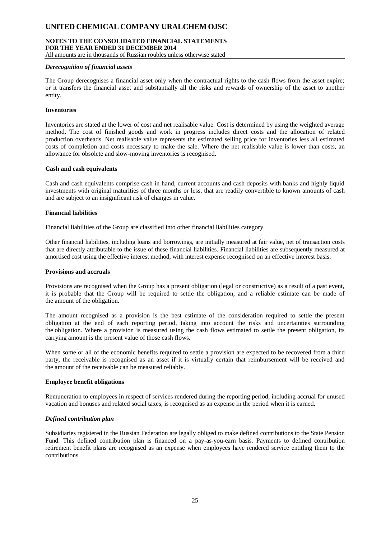#### **NOTES TO THE CONSOLIDATED FINANCIAL STATEMENTS FOR THE YEAR ENDED 31 DECEMBER 2014** All amounts are in thousands of Russian roubles unless otherwise stated

### *Derecognition of financial assets*

The Group derecognises a financial asset only when the contractual rights to the cash flows from the asset expire; or it transfers the financial asset and substantially all the risks and rewards of ownership of the asset to another entity.

#### **Inventories**

Inventories are stated at the lower of cost and net realisable value. Cost is determined by using the weighted average method. The cost of finished goods and work in progress includes direct costs and the allocation of related production overheads. Net realisable value represents the estimated selling price for inventories less all estimated costs of completion and costs necessary to make the sale. Where the net realisable value is lower than costs, an allowance for obsolete and slow-moving inventories is recognised.

#### **Cash and cash equivalents**

Cash and cash equivalents comprise cash in hand, current accounts and cash deposits with banks and highly liquid investments with original maturities of three months or less, that are readily convertible to known amounts of cash and are subject to an insignificant risk of changes in value.

#### **Financial liabilities**

Financial liabilities of the Group are classified into other financial liabilities category.

Other financial liabilities, including loans and borrowings, are initially measured at fair value, net of transaction costs that are directly attributable to the issue of these financial liabilities. Financial liabilities are subsequently measured at amortised cost using the effective interest method, with interest expense recognised on an effective interest basis.

#### **Provisions and accruals**

Provisions are recognised when the Group has a present obligation (legal or constructive) as a result of a past event, it is probable that the Group will be required to settle the obligation, and a reliable estimate can be made of the amount of the obligation.

The amount recognised as a provision is the best estimate of the consideration required to settle the present obligation at the end of each reporting period, taking into account the risks and uncertainties surrounding the obligation. Where a provision is measured using the cash flows estimated to settle the present obligation, its carrying amount is the present value of those cash flows.

When some or all of the economic benefits required to settle a provision are expected to be recovered from a third party, the receivable is recognised as an asset if it is virtually certain that reimbursement will be received and the amount of the receivable can be measured reliably.

#### **Employee benefit obligations**

Remuneration to employees in respect of services rendered during the reporting period, including accrual for unused vacation and bonuses and related social taxes, is recognised as an expense in the period when it is earned.

#### *Defined contribution plan*

Subsidiaries registered in the Russian Federation are legally obliged to make defined contributions to the State Pension Fund. This defined contribution plan is financed on a pay-as-you-earn basis. Payments to defined contribution retirement benefit plans are recognised as an expense when employees have rendered service entitling them to the contributions.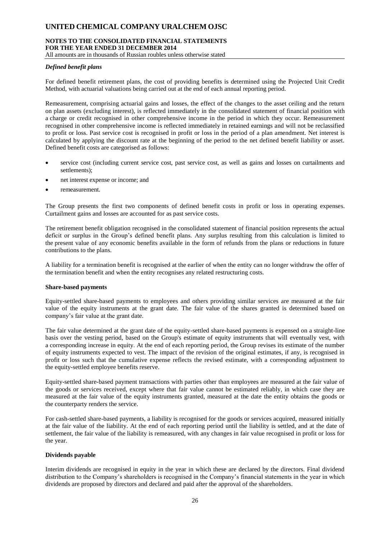### **NOTES TO THE CONSOLIDATED FINANCIAL STATEMENTS FOR THE YEAR ENDED 31 DECEMBER 2014**

### All amounts are in thousands of Russian roubles unless otherwise stated

#### *Defined benefit plans*

For defined benefit retirement plans, the cost of providing benefits is determined using the Projected Unit Credit Method, with actuarial valuations being carried out at the end of each annual reporting period.

Remeasurement, comprising actuarial gains and losses, the effect of the changes to the asset ceiling and the return on plan assets (excluding interest), is reflected immediately in the consolidated statement of financial position with a charge or credit recognised in other comprehensive income in the period in which they occur. Remeasurement recognised in other comprehensive income is reflected immediately in retained earnings and will not be reclassified to profit or loss. Past service cost is recognised in profit or loss in the period of a plan amendment. Net interest is calculated by applying the discount rate at the beginning of the period to the net defined benefit liability or asset. Defined benefit costs are categorised as follows:

- service cost (including current service cost, past service cost, as well as gains and losses on curtailments and settlements);
- net interest expense or income; and
- remeasurement.

The Group presents the first two components of defined benefit costs in profit or loss in operating expenses. Curtailment gains and losses are accounted for as past service costs.

The retirement benefit obligation recognised in the consolidated statement of financial position represents the actual deficit or surplus in the Group's defined benefit plans. Any surplus resulting from this calculation is limited to the present value of any economic benefits available in the form of refunds from the plans or reductions in future contributions to the plans.

A liability for a termination benefit is recognised at the earlier of when the entity can no longer withdraw the offer of the termination benefit and when the entity recognises any related restructuring costs.

#### **Share-based payments**

Equity-settled share-based payments to employees and others providing similar services are measured at the fair value of the equity instruments at the grant date. The fair value of the shares granted is determined based on company's fair value at the grant date.

The fair value determined at the grant date of the equity-settled share-based payments is expensed on a straight-line basis over the vesting period, based on the Group's estimate of equity instruments that will eventually vest, with a corresponding increase in equity. At the end of each reporting period, the Group revises its estimate of the number of equity instruments expected to vest. The impact of the revision of the original estimates, if any, is recognised in profit or loss such that the cumulative expense reflects the revised estimate, with a corresponding adjustment to the equity-settled employee benefits reserve.

Equity-settled share-based payment transactions with parties other than employees are measured at the fair value of the goods or services received, except where that fair value cannot be estimated reliably, in which case they are measured at the fair value of the equity instruments granted, measured at the date the entity obtains the goods or the counterparty renders the service.

For cash-settled share-based payments, a liability is recognised for the goods or services acquired, measured initially at the fair value of the liability. At the end of each reporting period until the liability is settled, and at the date of settlement, the fair value of the liability is remeasured, with any changes in fair value recognised in profit or loss for the year.

#### **Dividends payable**

Interim dividends are recognised in equity in the year in which these are declared by the directors. Final dividend distribution to the Company's shareholders is recognised in the Company's financial statements in the year in which dividends are proposed by directors and declared and paid after the approval of the shareholders.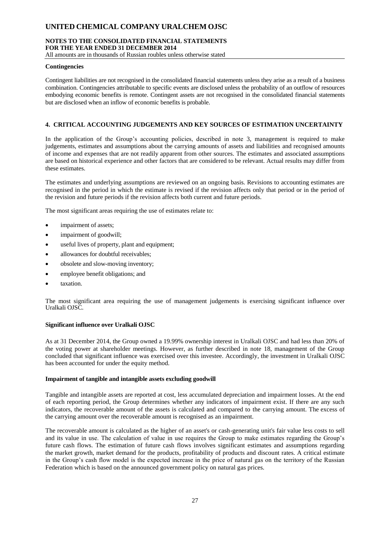### **NOTES TO THE CONSOLIDATED FINANCIAL STATEMENTS FOR THE YEAR ENDED 31 DECEMBER 2014**

#### All amounts are in thousands of Russian roubles unless otherwise stated

#### **Contingencies**

Contingent liabilities are not recognised in the consolidated financial statements unless they arise as a result of a business combination. Contingencies attributable to specific events are disclosed unless the probability of an outflow of resources embodying economic benefits is remote. Contingent assets are not recognised in the consolidated financial statements but are disclosed when an inflow of economic benefits is probable.

### **4. CRITICAL ACCOUNTING JUDGEMENTS AND KEY SOURCES OF ESTIMATION UNCERTAINTY**

In the application of the Group's accounting policies, described in note 3, management is required to make judgements, estimates and assumptions about the carrying amounts of assets and liabilities and recognised amounts of income and expenses that are not readily apparent from other sources. The estimates and associated assumptions are based on historical experience and other factors that are considered to be relevant. Actual results may differ from these estimates.

The estimates and underlying assumptions are reviewed on an ongoing basis. Revisions to accounting estimates are recognised in the period in which the estimate is revised if the revision affects only that period or in the period of the revision and future periods if the revision affects both current and future periods.

The most significant areas requiring the use of estimates relate to:

- impairment of assets;
- impairment of goodwill;
- useful lives of property, plant and equipment;
- allowances for doubtful receivables;
- obsolete and slow-moving inventory;
- employee benefit obligations; and
- taxation.

The most significant area requiring the use of management judgements is exercising significant influence over Uralkali OJSC.

#### **Significant influence over Uralkali OJSC**

As at 31 December 2014, the Group owned a 19.99% ownership interest in Uralkali OJSC and had less than 20% of the voting power at shareholder meetings. However, as further described in note 18, management of the Group concluded that significant influence was exercised over this investee. Accordingly, the investment in Uralkali OJSC has been accounted for under the equity method.

#### **Impairment of tangible and intangible assets excluding goodwill**

Tangible and intangible assets are reported at cost, less accumulated depreciation and impairment losses. At the end of each reporting period, the Group determines whether any indicators of impairment exist. If there are any such indicators, the recoverable amount of the assets is calculated and compared to the carrying amount. The excess of the carrying amount over the recoverable amount is recognised as an impairment.

The recoverable amount is calculated as the higher of an asset's or cash-generating unit's fair value less costs to sell and its value in use. The calculation of value in use requires the Group to make estimates regarding the Group's future cash flows. The estimation of future cash flows involves significant estimates and assumptions regarding the market growth, market demand for the products, profitability of products and discount rates. A critical estimate in the Group's cash flow model is the expected increase in the price of natural gas on the territory of the Russian Federation which is based on the announced government policy on natural gas prices.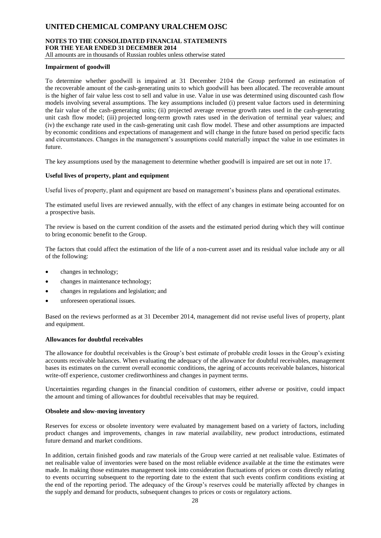#### **NOTES TO THE CONSOLIDATED FINANCIAL STATEMENTS FOR THE YEAR ENDED 31 DECEMBER 2014** All amounts are in thousands of Russian roubles unless otherwise stated

#### **Impairment of goodwill**

To determine whether goodwill is impaired at 31 December 2104 the Group performed an estimation of the recoverable amount of the cash-generating units to which goodwill has been allocated. The recoverable amount is the higher of fair value less cost to sell and value in use. Value in use was determined using discounted cash flow models involving several assumptions. The key assumptions included (i) present value factors used in determining the fair value of the cash-generating units; (ii) projected average revenue growth rates used in the cash-generating unit cash flow model; (iii) projected long-term growth rates used in the derivation of terminal year values; and (iv) the exchange rate used in the cash-generating unit cash flow model. These and other assumptions are impacted by economic conditions and expectations of management and will change in the future based on period specific facts and circumstances. Changes in the management's assumptions could materially impact the value in use estimates in future.

The key assumptions used by the management to determine whether goodwill is impaired are set out in note 17.

#### **Useful lives of property, plant and equipment**

Useful lives of property, plant and equipment are based on management's business plans and operational estimates.

The estimated useful lives are reviewed annually, with the effect of any changes in estimate being accounted for on a prospective basis.

The review is based on the current condition of the assets and the estimated period during which they will continue to bring economic benefit to the Group.

The factors that could affect the estimation of the life of a non-current asset and its residual value include any or all of the following:

- changes in technology;
- changes in maintenance technology;
- changes in regulations and legislation; and
- unforeseen operational issues.

Based on the reviews performed as at 31 December 2014, management did not revise useful lives of property, plant and equipment.

#### **Allowances for doubtful receivables**

The allowance for doubtful receivables is the Group's best estimate of probable credit losses in the Group's existing accounts receivable balances. When evaluating the adequacy of the allowance for doubtful receivables, management bases its estimates on the current overall economic conditions, the ageing of accounts receivable balances, historical write-off experience, customer creditworthiness and changes in payment terms.

Uncertainties regarding changes in the financial condition of customers, either adverse or positive, could impact the amount and timing of allowances for doubtful receivables that may be required.

#### **Obsolete and slow-moving inventory**

Reserves for excess or obsolete inventory were evaluated by management based on a variety of factors, including product changes and improvements, changes in raw material availability, new product introductions, estimated future demand and market conditions.

In addition, certain finished goods and raw materials of the Group were carried at net realisable value. Estimates of net realisable value of inventories were based on the most reliable evidence available at the time the estimates were made. In making those estimates management took into consideration fluctuations of prices or costs directly relating to events occurring subsequent to the reporting date to the extent that such events confirm conditions existing at the end of the reporting period. The adequacy of the Group's reserves could be materially affected by changes in the supply and demand for products, subsequent changes to prices or costs or regulatory actions.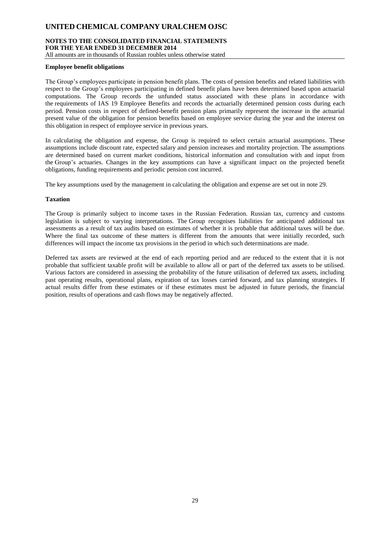#### **NOTES TO THE CONSOLIDATED FINANCIAL STATEMENTS FOR THE YEAR ENDED 31 DECEMBER 2014** All amounts are in thousands of Russian roubles unless otherwise stated

#### **Employee benefit obligations**

The Group's employees participate in pension benefit plans. The costs of pension benefits and related liabilities with respect to the Group's employees participating in defined benefit plans have been determined based upon actuarial computations. The Group records the unfunded status associated with these plans in accordance with the requirements of IAS 19 Employee Benefits and records the actuarially determined pension costs during each period. Pension costs in respect of defined-benefit pension plans primarily represent the increase in the actuarial present value of the obligation for pension benefits based on employee service during the year and the interest on this obligation in respect of employee service in previous years.

In calculating the obligation and expense, the Group is required to select certain actuarial assumptions. These assumptions include discount rate, expected salary and pension increases and mortality projection. The assumptions are determined based on current market conditions, historical information and consultation with and input from the Group's actuaries. Changes in the key assumptions can have a significant impact on the projected benefit obligations, funding requirements and periodic pension cost incurred.

The key assumptions used by the management in calculating the obligation and expense are set out in note 29.

#### **Taxation**

The Group is primarily subject to income taxes in the Russian Federation. Russian tax, currency and customs legislation is subject to varying interpretations. The Group recognises liabilities for anticipated additional tax assessments as a result of tax audits based on estimates of whether it is probable that additional taxes will be due. Where the final tax outcome of these matters is different from the amounts that were initially recorded, such differences will impact the income tax provisions in the period in which such determinations are made.

Deferred tax assets are reviewed at the end of each reporting period and are reduced to the extent that it is not probable that sufficient taxable profit will be available to allow all or part of the deferred tax assets to be utilised. Various factors are considered in assessing the probability of the future utilisation of deferred tax assets, including past operating results, operational plans, expiration of tax losses carried forward, and tax planning strategies. If actual results differ from these estimates or if these estimates must be adjusted in future periods, the financial position, results of operations and cash flows may be negatively affected.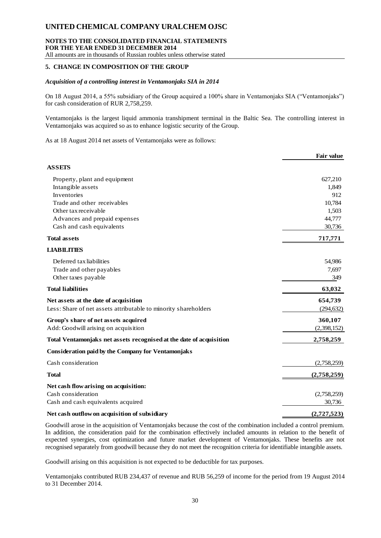#### **NOTES TO THE CONSOLIDATED FINANCIAL STATEMENTS FOR THE YEAR ENDED 31 DECEMBER 2014** All amounts are in thousands of Russian roubles unless otherwise stated

#### **5. CHANGE IN COMPOSITION OF THE GROUP**

#### *Acquisition of a controlling interest in Ventamonjaks SIA in 2014*

On 18 August 2014, a 55% subsidiary of the Group acquired a 100% share in Ventamonjaks SIA ("Ventamonjaks") for cash consideration of RUR 2,758,259.

Ventamonjaks is the largest liquid ammonia transhipment terminal in the Baltic Sea. The controlling interest in Ventamonjaks was acquired so as to enhance logistic security of the Group.

As at 18 August 2014 net assets of Ventamonjaks were as follows:

|                                                                     | Fair value  |
|---------------------------------------------------------------------|-------------|
| <b>ASSETS</b>                                                       |             |
| Property, plant and equipment                                       | 627,210     |
| Intangible assets                                                   | 1,849       |
| Inventories                                                         | 912         |
| Trade and other receivables                                         | 10,784      |
| Other tax receivable                                                | 1,503       |
| Advances and prepaid expenses                                       | 44,777      |
| Cash and cash equivalents                                           | 30,736      |
| <b>Total assets</b>                                                 | 717,771     |
| <b>LIABILITIES</b>                                                  |             |
| Deferred tax liabilities                                            | 54,986      |
| Trade and other payables                                            | 7,697       |
| Other taxes payable                                                 | 349         |
| <b>Total liabilities</b>                                            | 63,032      |
| Net assets at the date of acquisition                               | 654,739     |
| Less: Share of net assets attributable to minority shareholders     | (294, 632)  |
| Group's share of net assets acquired                                | 360,107     |
| Add: Goodwill arising on acquisition                                | (2,398,152) |
| Total Ventamonjaks net assets recognised at the date of acquisition | 2,758,259   |
| <b>Consideration paid by the Company for Ventamonjaks</b>           |             |
| Cash consideration                                                  | (2,758,259) |
| <b>Total</b>                                                        | (2,758,259) |
| Net cash flow arising on acquisition:                               |             |
| Cash consideration                                                  | (2,758,259) |
| Cash and cash equivalents acquired                                  | 30,736      |
| Net cash outflow on acquisition of subsidiary                       | (2,727,523) |

Goodwill arose in the acquisition of Ventamonjaks because the cost of the combination included a control premium. In addition, the consideration paid for the combination effectively included amounts in relation to the benefit of expected synergies, cost optimization and future market development of Ventamonjaks. These benefits are not recognised separately from goodwill because they do not meet the recognition criteria for identifiable intangible assets.

Goodwill arising on this acquisition is not expected to be deductible for tax purposes.

Ventamonjaks contributed RUB 234,437 of revenue and RUB 56,259 of income for the period from 19 August 2014 to 31 December 2014.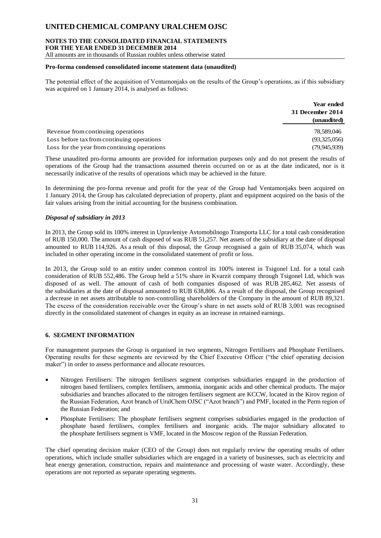#### **NOTES TO THE CONSOLIDATED FINANCIAL STATEMENTS FOR THE YEAR ENDED 31 DECEMBER 2014**

All amounts are in thousands of Russian roubles unless otherwise stated

#### **Pro-forma condensed consolidated income statement data (unaudited)**

The potential effect of the acquisition of Ventamonjaks on the results of the Group's operations, as if this subsidiary was acquired on 1 January 2014, is analysed as follows:

|                                              | Year ended       |
|----------------------------------------------|------------------|
|                                              | 31 December 2014 |
|                                              | (unaudited)      |
| Revenue from continuing operations           | 78.589.046       |
| Loss before tax from continuing operations   | (93,325,056)     |
| Loss for the year from continuing operations | (79,945,939)     |

These unaudited pro-forma amounts are provided for information purposes only and do not present the results of operations of the Group had the transactions assumed therein occurred on or as at the date indicated, nor is it necessarily indicative of the results of operations which may be achieved in the future.

In determining the pro-forma revenue and profit for the year of the Group had Ventamonjaks been acquired on 1 January 2014, the Group has calculated depreciation of property, plant and equipment acquired on the basis of the fair values arising from the initial accounting for the business combination.

#### *Disposal of subsidiary in 2013*

In 2013, the Group sold its 100% interest in Upravleniye Avtomobilnogo Transporta LLC for a total cash consideration of RUB 150,000. The amount of cash disposed of was RUB 51,257. Net assets of the subsidiary at the date of disposal amounted to RUB 114,926. As a result of this disposal, the Group recognised a gain of RUB 35,074, which was included in other operating income in the consolidated statement of profit or loss.

In 2013, the Group sold to an entity under common control its 100% interest in Tsigonel Ltd. for a total cash consideration of RUB 552,486. The Group held a 51% share in Kvarzit company through Tsigonel Ltd, which was disposed of as well. The amount of cash of both companies disposed of was RUB 285,462. Net assests of the subsidiaries at the date of disposal amounted to RUB 638,806. As a result of the disposal, the Group recognised a decrease in net assets attributable to non-controlling shareholders of the Company in the amount of RUB 89,321. The excess of the consideration receivable over the Group's share in net assets sold of RUB 3,001 was recognised directly in the consolidated statement of changes in equity as an increase in retained earnings.

#### **6. SEGMENT INFORMATION**

For management purposes the Group is organised in two segments, Nitrogen Fertilisers and Phosphate Fertilisers. Operating results for these segments are reviewed by the Chief Executive Officer ("the chief operating decision maker") in order to assess performance and allocate resources.

- Nitrogen Fertilisers: The nitrogen fertilisers segment comprises subsidiaries engaged in the production of nitrogen based fertilisers, complex fertilisers, ammonia, inorganic acids and other chemical products. The major subsidiaries and branches allocated to the nitrogen fertilisers segment are KCCW, located in the Kirov region of the Russian Federation, Azot branch of UralChem OJSC ("Azot branch") and PMF, located in the Perm region of the Russian Federation; and
- Phosphate Fertilisers: The phosphate fertilisers segment comprises subsidiaries engaged in the production of phosphate based fertilisers, complex fertilisers and inorganic acids. The major subsidiary allocated to the phosphate fertilisers segment is VMF, located in the Moscow region of the Russian Federation.

The chief operating decision maker (CEO of the Group) does not regularly review the operating results of other operations, which include smaller subsidiaries which are engaged in a variety of businesses, such as electricity and heat energy generation, construction, repairs and maintenance and processing of waste water. Accordingly, these operations are not reported as separate operating segments.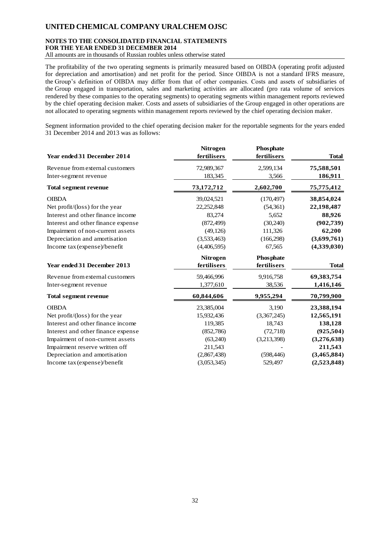#### **NOTES TO THE CONSOLIDATED FINANCIAL STATEMENTS FOR THE YEAR ENDED 31 DECEMBER 2014** All amounts are in thousands of Russian roubles unless otherwise stated

The profitability of the two operating segments is primarily measured based on OIBDA (operating profit adjusted for depreciation and amortisation) and net profit for the period. Since OIBDA is not a standard IFRS measure, the Group's definition of OIBDA may differ from that of other companies. Costs and assets of subsidiaries of the Group engaged in transportation, sales and marketing activities are allocated (pro rata volume of services rendered by these companies to the operating segments) to operating segments within management reports reviewed by the chief operating decision maker. Costs and assets of subsidiaries of the Group engaged in other operations are not allocated to operating segments within management reports reviewed by the chief operating decision maker.

Segment information provided to the chief operating decision maker for the reportable segments for the years ended 31 December 2014 and 2013 was as follows:

| Year ended 31 December 2014        | <b>Nitrogen</b><br>fertilisers | <b>Phosphate</b><br>fertilisers | <b>Total</b> |
|------------------------------------|--------------------------------|---------------------------------|--------------|
| Revenue from external customers    | 72,989,367                     | 2,599,134                       | 75,588,501   |
| Inter-segment revenue              | 183,345                        | 3,566                           | 186,911      |
| <b>Total segment revenue</b>       | 73,172,712                     | 2,602,700                       | 75,775,412   |
| <b>OIBDA</b>                       | 39,024,521                     | (170, 497)                      | 38,854,024   |
| Net profit/(loss) for the year     | 22,252,848                     | (54,361)                        | 22,198,487   |
| Interest and other finance income  | 83,274                         | 5,652                           | 88,926       |
| Interest and other finance expense | (872, 499)                     | (30,240)                        | (902, 739)   |
| Impairment of non-current assets   | (49, 126)                      | 111,326                         | 62,200       |
| Depreciation and amortisation      | (3,533,463)                    | (166, 298)                      | (3,699,761)  |
| Income tax (expense)/benefit       | (4,406,595)                    | 67,565                          | (4,339,030)  |
|                                    | <b>Nitrogen</b>                | <b>Phosphate</b>                |              |
| Year ended 31 December 2013        | fertilisers                    | fertilisers                     | <b>Total</b> |
| Revenue from external customers    | 59,466,996                     | 9,916,758                       | 69,383,754   |
| Inter-segment revenue              | 1,377,610                      | 38,536                          | 1,416,146    |
| <b>Total segment revenue</b>       | 60,844,606                     | 9,955,294                       | 70,799,900   |
| <b>OIBDA</b>                       | 23,385,004                     | 3,190                           | 23,388,194   |
| Net profit/(loss) for the year     | 15,932,436                     | (3,367,245)                     | 12,565,191   |
| Interest and other finance income  | 119,385                        | 18,743                          | 138,128      |
| Interest and other finance expense | (852,786)                      | (72, 718)                       | (925, 504)   |
| Impairment of non-current assets   | (63,240)                       | (3,213,398)                     | (3,276,638)  |
| Impairment reserve written off     | 211,543                        |                                 | 211,543      |
| Depreciation and amortisation      | (2,867,438)                    | (598, 446)                      | (3,465,884)  |
| Income tax (expense)/benefit       | (3,053,345)                    | 529,497                         | (2,523,848)  |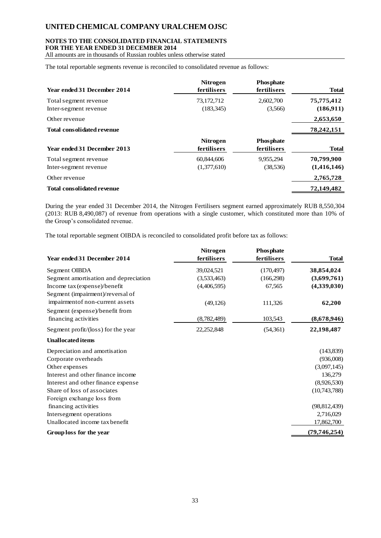#### **NOTES TO THE CONSOLIDATED FINANCIAL STATEMENTS FOR THE YEAR ENDED 31 DECEMBER 2014**

All amounts are in thousands of Russian roubles unless otherwise stated

The total reportable segments revenue is reconciled to consolidated revenue as follows:

| Year ended 31 December 2014                    | <b>Nitrogen</b><br>fertilisers | <b>Phosphate</b><br>fertilisers | <b>Total</b>              |
|------------------------------------------------|--------------------------------|---------------------------------|---------------------------|
| Total segment revenue<br>Inter-segment revenue | 73,172,712<br>(183, 345)       | 2,602,700<br>(3,566)            | 75,775,412<br>(186, 911)  |
| Other revenue                                  |                                |                                 | 2,653,650                 |
| <b>Total consolidated revenue</b>              |                                |                                 | 78,242,151                |
| Year ended 31 December 2013                    | <b>Nitrogen</b><br>fertilisers | <b>Phosphate</b><br>fertilisers | <b>Total</b>              |
| Total segment revenue<br>Inter-segment revenue | 60,844,606<br>(1,377,610)      | 9,955,294<br>(38, 536)          | 70,799,900<br>(1,416,146) |
| Other revenue                                  |                                |                                 | 2,765,728                 |
| <b>Total consolidated revenue</b>              |                                |                                 | 72,149,482                |

During the year ended 31 December 2014, the Nitrogen Fertilisers segment earned approximately RUB 8,550,304 (2013: RUB 8,490,087) of revenue from operations with a single customer, which constituted more than 10% of the Group's consolidated revenue.

The total reportable segment OIBDA is reconciled to consolidated profit before tax as follows:

| Year ended 31 December 2014           | <b>Nitrogen</b><br>fertilisers | <b>Phosphate</b><br>fertilisers | <b>Total</b>   |
|---------------------------------------|--------------------------------|---------------------------------|----------------|
| Segment OIBDA                         | 39,024,521                     | (170, 497)                      | 38,854,024     |
| Segment amortisation and depreciation | (3,533,463)                    | (166, 298)                      | (3,699,761)    |
| Income tax (expense)/benefit          | (4,406,595)                    | 67,565                          | (4,339,030)    |
| Segment (impairment)/reversal of      |                                |                                 |                |
| impairmentof non-current assets       | (49, 126)                      | 111,326                         | 62,200         |
| Segment (expense)/benefit from        |                                |                                 |                |
| financing activities                  | (8,782,489)                    | 103,543                         | (8,678,946)    |
| Segment profit/(loss) for the year    | 22, 252, 848                   | (54,361)                        | 22,198,487     |
| <b>Unallocated items</b>              |                                |                                 |                |
| Depreciation and amortisation         |                                |                                 | (143, 839)     |
| Corporate overheads                   |                                |                                 | (936,008)      |
| Other expenses                        |                                |                                 | (3,097,145)    |
| Interest and other finance income     |                                |                                 | 136,279        |
| Interest and other finance expense    |                                |                                 | (8,926,530)    |
| Share of loss of associates           |                                |                                 | (10,743,788)   |
| Foreign exchange loss from            |                                |                                 |                |
| financing activities                  |                                |                                 | (98, 812, 439) |
| Intersegment operations               |                                |                                 | 2,716,029      |
| Unallocated income tax benefit        |                                |                                 | 17,862,700     |
| Group loss for the year               |                                |                                 | (79, 746, 254) |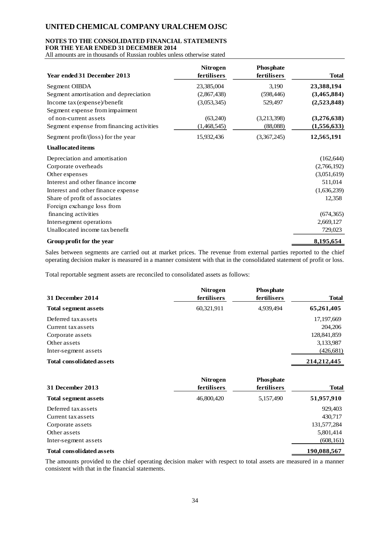#### **NOTES TO THE CONSOLIDATED FINANCIAL STATEMENTS FOR THE YEAR ENDED 31 DECEMBER 2014**

All amounts are in thousands of Russian roubles unless otherwise stated

| Year ended 31 December 2013               | <b>Nitrogen</b><br>fertilisers | <b>Phosphate</b><br>fertilisers | <b>Total</b>  |
|-------------------------------------------|--------------------------------|---------------------------------|---------------|
| Segment OIBDA                             | 23,385,004                     | 3,190                           | 23,388,194    |
| Segment amortisation and depreciation     | (2,867,438)                    | (598, 446)                      | (3,465,884)   |
| Income tax (expense)/benefit              | (3,053,345)                    | 529,497                         | (2,523,848)   |
| Segment expense from impairment           |                                |                                 |               |
| of non-current assets                     | (63,240)                       | (3,213,398)                     | (3,276,638)   |
| Segment expense from financing activities | (1,468,545)                    | (88,088)                        | (1, 556, 633) |
| Segment profit/(loss) for the year        | 15,932,436                     | (3,367,245)                     | 12,565,191    |
| <b>Unallocated items</b>                  |                                |                                 |               |
| Depreciation and amortisation             |                                |                                 | (162, 644)    |
| Corporate overheads                       |                                |                                 | (2,766,192)   |
| Other expenses                            |                                |                                 | (3,051,619)   |
| Interest and other finance income         |                                |                                 | 511,014       |
| Interest and other finance expense        |                                |                                 | (1,636,239)   |
| Share of profit of associates             |                                |                                 | 12,358        |
| Foreign exchange loss from                |                                |                                 |               |
| financing activities                      |                                |                                 | (674, 365)    |
| Intersegment operations                   |                                |                                 | 2,669,127     |
| Unallocated income tax benefit            |                                |                                 | 729,023       |
| Group profit for the year                 |                                |                                 | 8,195,654     |

Sales between segments are carried out at market prices. The revenue from external parties reported to the chief operating decision maker is measured in a manner consistent with that in the consolidated statement of profit or loss.

Total reportable segment assets are reconciled to consolidated assets as follows:

| <b>Nitrogen</b><br>fertilisers | <b>Phosphate</b><br>fertilisers | <b>Total</b> |
|--------------------------------|---------------------------------|--------------|
| 60,321,911                     | 4,939,494                       | 65,261,405   |
|                                |                                 | 17,197,669   |
|                                |                                 | 204,206      |
|                                |                                 | 128,841,859  |
|                                |                                 | 3,133,987    |
|                                |                                 | (426, 681)   |
|                                |                                 | 214,212,445  |
|                                |                                 |              |

| 31 December 2013                 | <b>Nitrogen</b><br>fertilisers | <b>Phosphate</b><br>fertilisers | <b>Total</b> |
|----------------------------------|--------------------------------|---------------------------------|--------------|
| <b>Total segment assets</b>      | 46,800,420                     | 5,157,490                       | 51,957,910   |
| Deferred tax assets              |                                |                                 | 929,403      |
| Current tax assets               |                                |                                 | 430,717      |
| Corporate assets                 |                                |                                 | 131,577,284  |
| Other assets                     |                                |                                 | 5,801,414    |
| Inter-segment assets             |                                |                                 | (608, 161)   |
| <b>Total consolidated assets</b> |                                |                                 | 190,088,567  |

The amounts provided to the chief operating decision maker with respect to total assets are measured in a manner consistent with that in the financial statements.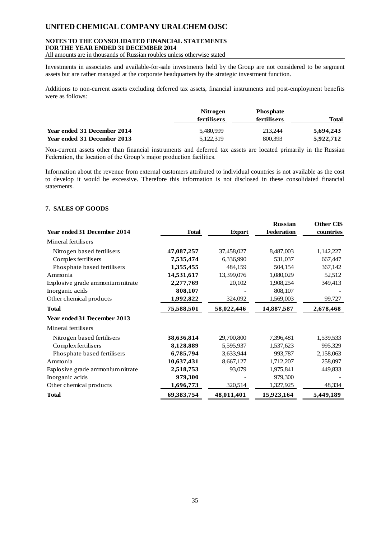### **NOTES TO THE CONSOLIDATED FINANCIAL STATEMENTS FOR THE YEAR ENDED 31 DECEMBER 2014**

All amounts are in thousands of Russian roubles unless otherwise stated

Investments in associates and available-for-sale investments held by the Group are not considered to be segment assets but are rather managed at the corporate headquarters by the strategic investment function.

Additions to non-current assets excluding deferred tax assets, financial instruments and post-employment benefits were as follows:

|                             | <b>Nitrogen</b> | <b>Phosphate</b> |           |
|-----------------------------|-----------------|------------------|-----------|
|                             | fertilisers     | fertilisers      | Total     |
| Year ended 31 December 2014 | 5.480.999       | 213.244          | 5.694.243 |
| Year ended 31 December 2013 | 5.122.319       | 800.393          | 5.922.712 |

Non-current assets other than financial instruments and deferred tax assets are located primarily in the Russian Federation, the location of the Group's major production facilities.

Information about the revenue from external customers attributed to individual countries is not available as the cost to develop it would be excessive. Therefore this information is not disclosed in these consolidated financial statements.

#### **7. SALES OF GOODS**

| Year ended 31 December 2014      | <b>Total</b> | <b>Export</b> | <b>Russian</b><br>Federation | Other CIS<br>countries |
|----------------------------------|--------------|---------------|------------------------------|------------------------|
| Mineral fertilisers              |              |               |                              |                        |
| Nitrogen based fertilisers       | 47,087,257   | 37,458,027    | 8,487,003                    | 1,142,227              |
| Complex fertilisers              | 7,535,474    | 6,336,990     | 531,037                      | 667,447                |
| Phosphate based fertilisers      | 1,355,455    | 484,159       | 504,154                      | 367,142                |
| Ammonia                          | 14,531,617   | 13,399,076    | 1,080,029                    | 52,512                 |
| Explosive grade ammonium nitrate | 2,277,769    | 20,102        | 1,908,254                    | 349,413                |
| Inorganic acids                  | 808,107      |               | 808,107                      |                        |
| Other chemical products          | 1,992,822    | 324,092       | 1,569,003                    | 99,727                 |
| <b>Total</b>                     | 75,588,501   | 58,022,446    | 14,887,587                   | 2,678,468              |
| Year ended 31 December 2013      |              |               |                              |                        |
| Mineral fertilisers              |              |               |                              |                        |
| Nitrogen based fertilisers       | 38,636,814   | 29,700,800    | 7,396,481                    | 1,539,533              |
| Complex fertilisers              | 8,128,889    | 5,595,937     | 1,537,623                    | 995,329                |
| Phosphate based fertilisers      | 6,785,794    | 3,633,944     | 993,787                      | 2,158,063              |
| Ammonia                          | 10,637,431   | 8,667,127     | 1,712,207                    | 258,097                |
| Explosive grade ammonium nitrate | 2,518,753    | 93,079        | 1,975,841                    | 449,833                |
| Inorganic acids                  | 979,300      |               | 979,300                      |                        |
| Other chemical products          | 1,696,773    | 320,514       | 1,327,925                    | 48,334                 |
| <b>Total</b>                     | 69, 383, 754 | 48,011,401    | 15,923,164                   | 5,449,189              |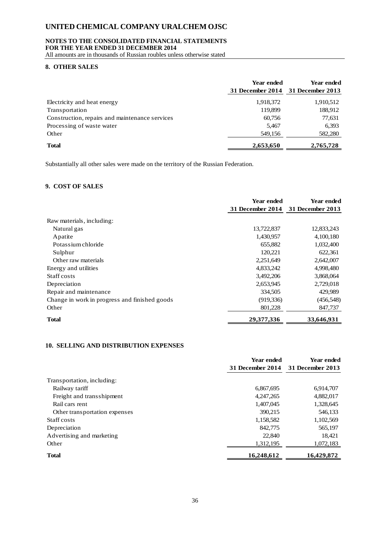### **NOTES TO THE CONSOLIDATED FINANCIAL STATEMENTS** FOR THE YEAR ENDED 31 DECEMBER 2014

All amounts are in thousands of Russian roubles unless otherwise stated

### **8. OTHER SALES**

|                                                | Year ended<br>31 December 2014 | Year ended<br>31 December 2013 |
|------------------------------------------------|--------------------------------|--------------------------------|
| Electricity and heat energy                    | 1,918,372                      | 1,910,512                      |
| Transportation                                 | 119,899                        | 188,912                        |
| Construction, repairs and maintenance services | 60,756                         | 77,631                         |
| Processing of waste water                      | 5,467                          | 6,393                          |
| Other                                          | 549,156                        | 582,280                        |
| <b>Total</b>                                   | 2,653,650                      | 2,765,728                      |

Substantially all other sales were made on the territory of the Russian Federation.

### **9. COST OF SALES**

|                                               | Year ended<br>31 December 2014 | Year ended<br>31 December 2013 |
|-----------------------------------------------|--------------------------------|--------------------------------|
| Raw materials, including:                     |                                |                                |
| Natural gas                                   | 13,722,837                     | 12,833,243                     |
| Apatite                                       | 1,430,957                      | 4,100,180                      |
| Potassium chloride                            | 655,882                        | 1,032,400                      |
| Sulphur                                       | 120,221                        | 622,361                        |
| Other raw materials                           | 2,251,649                      | 2,642,007                      |
| Energy and utilities                          | 4,833,242                      | 4,998,480                      |
| Staff costs                                   | 3,492,206                      | 3,868,064                      |
| Depreciation                                  | 2,653,945                      | 2,729,018                      |
| Repair and maintenance                        | 334,505                        | 429,989                        |
| Change in work in progress and finished goods | (919, 336)                     | (456, 548)                     |
| Other                                         | 801,228                        | 847,737                        |
| <b>Total</b>                                  | 29,377,336                     | 33,646,931                     |

### **10. SELLING AND DISTRIBUTION EXPENSES**

|                               | Year ended<br>31 December 2014 | Year ended<br>31 December 2013 |
|-------------------------------|--------------------------------|--------------------------------|
| Transportation, including:    |                                |                                |
| Railway tariff                | 6,867,695                      | 6,914,707                      |
| Freight and transshipment     | 4,247,265                      | 4,882,017                      |
| Rail cars rent                | 1,407,045                      | 1,328,645                      |
| Other transportation expenses | 390.215                        | 546,133                        |
| Staff costs                   | 1,158,582                      | 1,102,569                      |
| Depreciation                  | 842,775                        | 565,197                        |
| Advertising and marketing     | 22,840                         | 18,421                         |
| Other                         | 1,312,195                      | 1,072,183                      |
| <b>Total</b>                  | 16,248,612                     | 16,429,872                     |
|                               |                                |                                |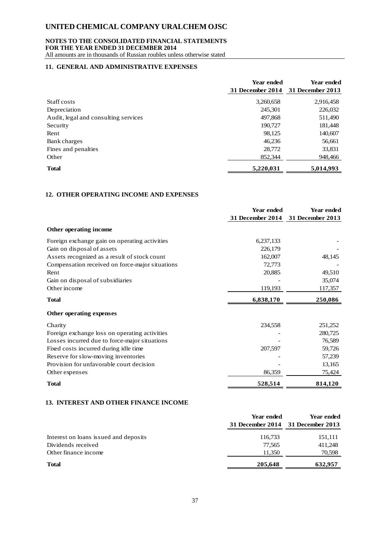### **NOTES TO THE CONSOLIDATED FINANCIAL STATEMENTS** FOR THE YEAR ENDED 31 DECEMBER 2014

All amounts are in thousands of Russian roubles unless otherwise stated

### **11. GENERAL AND ADMINISTRATIVE EXPENSES**

|                                      | Year ended       | Year ended       |
|--------------------------------------|------------------|------------------|
|                                      | 31 December 2014 | 31 December 2013 |
| Staff costs                          | 3,260,658        | 2,916,458        |
| Depreciation                         | 245,301          | 226,032          |
| Audit, legal and consulting services | 497,868          | 511,490          |
| Security                             | 190,727          | 181,448          |
| Rent                                 | 98,125           | 140,607          |
| Bank charges                         | 46,236           | 56,661           |
| Fines and penalties                  | 28,772           | 33,831           |
| Other                                | 852,344          | 948,466          |
| <b>Total</b>                         | 5,220,031        | 5,014,993        |

#### **12. OTHER OPERATING INCOME AND EXPENSES**

|                                                 | Year ended | Year ended                        |
|-------------------------------------------------|------------|-----------------------------------|
|                                                 |            | 31 December 2014 31 December 2013 |
| Other operating income                          |            |                                   |
| Foreign exchange gain on operating activities   | 6,237,133  |                                   |
| Gain on disposal of assets                      | 226,179    |                                   |
| Assets recognized as a result of stock count    | 162,007    | 48,145                            |
| Compensation received on force-major situations | 72,773     |                                   |
| Rent                                            | 20,885     | 49,510                            |
| Gain on disposal of subsidiaries                |            | 35,074                            |
| Other income                                    | 119,193    | 117,357                           |
| <b>Total</b>                                    | 6,838,170  | 250,086                           |
| Other operating expenses                        |            |                                   |
| Charity                                         | 234,558    | 251,252                           |
| Foreign exchange loss on operating activities   |            | 280,725                           |
| Losses incurred due to force-major situations   |            | 76,589                            |
| Fixed costs incurred during idle time           | 207,597    | 59,726                            |
| Reserve for slow-moving inventories             |            | 57,239                            |
| Provision for unfavorable court decision        |            | 13,165                            |
| Other expenses                                  | 86,359     | 75,424                            |
| <b>Total</b>                                    | 528,514    | 814,120                           |

### **13. INTEREST AND OTHER FINANCE INCOME**

|                                       | Year ended | Year ended                        |  |
|---------------------------------------|------------|-----------------------------------|--|
|                                       |            | 31 December 2014 31 December 2013 |  |
| Interest on loans issued and deposits | 116,733    | 151,111                           |  |
| Dividends received                    | 77.565     | 411,248                           |  |
| Other finance income                  | 11.350     | 70,598                            |  |
| <b>Total</b>                          | 205,648    | 632,957                           |  |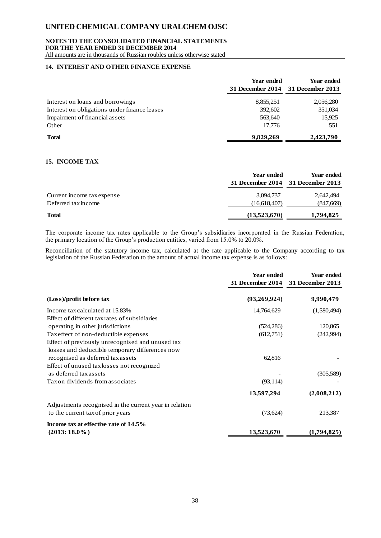### **NOTES TO THE CONSOLIDATED FINANCIAL STATEMENTS FOR THE YEAR ENDED 31 DECEMBER 2014**

All amounts are in thousands of Russian roubles unless otherwise stated

### **14. INTEREST AND OTHER FINANCE EXPENSE**

|                                              | Year ended | Year ended<br>31 December 2014 31 December 2013 |
|----------------------------------------------|------------|-------------------------------------------------|
| Interest on loans and borrowings             | 8,855,251  | 2,056,280                                       |
| Interest on obligations under finance leases | 392,602    | 351,034                                         |
| Impairment of financial assets               | 563,640    | 15,925                                          |
| Other                                        | 17.776     | 551                                             |
| <b>Total</b>                                 | 9.829.269  | 2,423,790                                       |

#### **15. INCOME TAX**

|                            | Year ended   | Year ended                        |  |
|----------------------------|--------------|-----------------------------------|--|
|                            |              | 31 December 2014 31 December 2013 |  |
| Current income tax expense | 3.094.737    | 2,642,494                         |  |
| Deferred tax income        | (16,618,407) | (847, 669)                        |  |
| <b>Total</b>               | (13,523,670) | 1,794,825                         |  |

The corporate income tax rates applicable to the Group's subsidiaries incorporated in the Russian Federation, the primary location of the Group's production entities, varied from 15.0% to 20.0%.

Reconciliation of the statutory income tax, calculated at the rate applicable to the Company according to tax legislation of the Russian Federation to the amount of actual income tax expense is as follows:

|                                                        | Year ended<br>31 December 2014 | Year ended<br>31 December 2013 |
|--------------------------------------------------------|--------------------------------|--------------------------------|
| (Loss)/profit before tax                               | (93,269,924)                   | 9,990,479                      |
| Income tax calculated at 15.83%                        | 14,764,629                     | (1,580,494)                    |
| Effect of different tax rates of subsidiaries          |                                |                                |
| operating in other jurisdictions                       | (524, 286)                     | 120,865                        |
| Tax effect of non-deductible expenses                  | (612,751)                      | (242,994)                      |
| Effect of previously unrecognised and unused tax       |                                |                                |
| losses and deductible temporary differences now        |                                |                                |
| recognised as deferred tax assets                      | 62,816                         |                                |
| Effect of unused tax losses not recognized             |                                |                                |
| as deferred tax assets                                 |                                | (305, 589)                     |
| Tax on dividends from associates                       | (93, 114)                      |                                |
|                                                        | 13,597,294                     | (2,008,212)                    |
| Adjustments recognised in the current year in relation |                                |                                |
| to the current tax of prior years                      | (73, 624)                      | 213,387                        |
| Income tax at effective rate of 14.5%                  |                                |                                |
| $(2013:18.0\%)$                                        | 13,523,670                     | (1,794,825)                    |
|                                                        |                                |                                |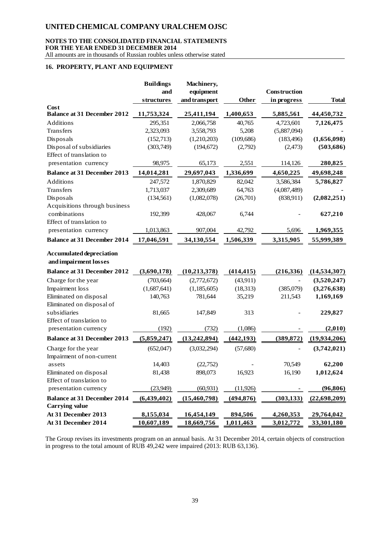### **NOTES TO THE CONSOLIDATED FINANCIAL STATEMENTS FOR THE YEAR ENDED 31 DECEMBER 2014**

All amounts are in thousands of Russian roubles unless otherwise stated

### **16. PROPERTY, PLANT AND EQUIPMENT**

|                                                          | <b>Buildings</b><br>and<br>structures | Machinery,<br>equipment<br>and transport | Other      | Construction<br>in progress | <b>Total</b>   |
|----------------------------------------------------------|---------------------------------------|------------------------------------------|------------|-----------------------------|----------------|
| Cost<br><b>Balance at 31 December 2012</b>               | 11,753,324                            | 25,411,194                               | 1,400,653  | 5,885,561                   | 44,450,732     |
| Additions                                                | 295,351                               | 2,066,758                                | 40,765     | 4,723,601                   | 7,126,475      |
| Transfers                                                | 2,323,093                             | 3,558,793                                | 5,208      | (5,887,094)                 |                |
| Disposals                                                | (152, 713)                            | (1,210,203)                              | (109, 686) | (183, 496)                  | (1,656,098)    |
| Disposal of subsidiaries                                 | (303,749)                             | (194, 672)                               | (2,792)    | (2, 473)                    | (503, 686)     |
| Effect of translation to                                 |                                       |                                          |            |                             |                |
| presentation currency                                    | 98,975                                | 65,173                                   | 2,551      | 114,126                     | 280,825        |
| <b>Balance at 31 December 2013</b>                       | 14,014,281                            | 29,697,043                               | 1,336,699  | 4,650,225                   | 49,698,248     |
| Additions                                                | 247,572                               | 1,870,829                                | 82,042     | 3,586,384                   | 5,786,827      |
| <b>Transfers</b>                                         | 1,713,037                             | 2,309,689                                | 64,763     | (4,087,489)                 |                |
| Disposals                                                | (134, 561)                            | (1,082,078)                              | (26,701)   | (838,911)                   | (2,082,251)    |
| Acquisitions through business                            |                                       |                                          |            |                             |                |
| combinations                                             | 192,399                               | 428,067                                  | 6,744      |                             | 627,210        |
| Effect of translation to                                 |                                       |                                          |            |                             |                |
| presentation currency                                    | 1,013,863                             | 907,004                                  | 42,792     | 5,696                       | 1,969,355      |
| <b>Balance at 31 December 2014</b>                       | 17,046,591                            | 34,130,554                               | 1,506,339  | 3,315,905                   | 55,999,389     |
| <b>Accumulated depreciation</b><br>and impairment losses |                                       |                                          |            |                             |                |
| <b>Balance at 31 December 2012</b>                       | (3,690,178)                           | (10, 213, 378)                           | (414, 415) | (216, 336)                  | (14, 534, 307) |
| Charge for the year                                      | (703, 664)                            | (2,772,672)                              | (43,911)   |                             | (3,520,247)    |
| Impairment loss                                          | (1,687,641)                           | (1,185,605)                              | (18, 313)  | (385,079)                   | (3,276,638)    |
| Eliminated on disposal                                   | 140,763                               | 781,644                                  | 35,219     | 211,543                     | 1,169,169      |
| Eliminated on disposal of                                |                                       |                                          |            |                             |                |
| subsidiaries                                             | 81,665                                | 147,849                                  | 313        |                             | 229,827        |
| Effect of translation to                                 |                                       |                                          |            |                             |                |
| presentation currency                                    | (192)                                 | (732)                                    | (1,086)    |                             | (2,010)        |
| <b>Balance at 31 December 2013</b>                       | (5,859,247)                           | (13,242,894)                             | (442, 193) | (389, 872)                  | (19,934,206)   |
| Charge for the year                                      | (652, 047)                            | (3,032,294)                              | (57,680)   |                             | (3,742,021)    |
| Impairment of non-current                                |                                       |                                          |            |                             |                |
| assets                                                   | 14,403                                | (22, 752)                                |            | 70,549                      | 62,200         |
| Eliminated on disposal                                   | 81,438                                | 898,073                                  | 16,923     | 16,190                      | 1,012,624      |
| Effect of translation to                                 |                                       |                                          |            |                             |                |
| presentation currency                                    | (23,949)                              | (60, 931)                                | (11, 926)  |                             | (96, 806)      |
| <b>Balance at 31 December 2014</b>                       | (6,439,402)                           | (15,460,798)                             | (494, 876) | (303, 133)                  | (22,698,209)   |
| <b>Carrying value</b>                                    |                                       |                                          |            |                             |                |
| At 31 December 2013                                      | 8,155,034                             | 16,454,149                               | 894,506    | 4,260,353                   | 29,764,042     |
| At 31 December 2014                                      | 10,607,189                            | 18,669,756                               | 1,011,463  | 3,012,772                   | 33,301,180     |

The Group revises its investments program on an annual basis. At 31 December 2014, certain objects of construction in progress to the total amount of RUB 49,242 were impaired (2013: RUB 63,136).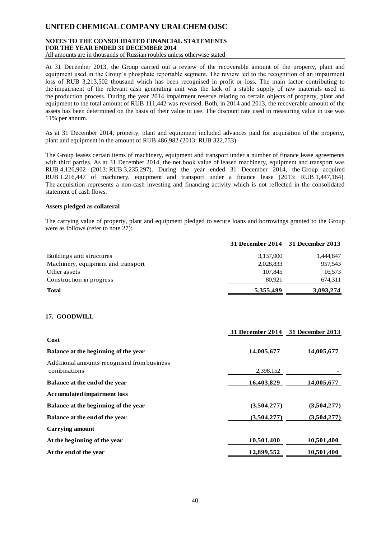#### **NOTES TO THE CONSOLIDATED FINANCIAL STATEMENTS FOR THE YEAR ENDED 31 DECEMBER 2014** All amounts are in thousands of Russian roubles unless otherwise stated

At 31 December 2013, the Group carried out a review of the recoverable amount of the property, plant and equipment used in the Group's phosphate reportable segment. The review led to the recognition of an impairment loss of RUB 3,213,502 thousand which has been recognised in profit or loss. The main factor contributing to the impairment of the relevant cash generating unit was the lack of a stable supply of raw materials used in the production process. During the year 2014 impairment reserve relating to certain objects of property, plant and equipment to the total amount of RUB 111,442 was reversed. Both, in 2014 and 2013, the recoverable amount of the assets has been determined on the basis of their value in use. The discount rate used in measuring value in use was 11% per annum.

As at 31 December 2014, property, plant and equipment included advances paid for acquisition of the property, plant and equipment in the amount of RUB 486,982 (2013: RUB 322,753).

The Group leases certain items of machinery, equipment and transport under a number of finance lease agreements with third parties. As at 31 December 2014, the net book value of leased machinery, equipment and transport was RUB 4,126,902 (2013: RUB 3,235,297). During the year ended 31 December 2014, the Group acquired RUB 1,216,447 of machinery, equipment and transport under a finance lease (2013: RUB 1,447,164). The acquisition represents a non-cash investing and financing activity which is not reflected in the consolidated statement of cash flows.

#### **Assets pledged as collateral**

The carrying value of property, plant and equipment pledged to secure loans and borrowings granted to the Group were as follows (refer to note 27):

|                                    |           | 31 December 2014 31 December 2013 |
|------------------------------------|-----------|-----------------------------------|
| Buildings and structures           | 3,137,900 | 1,444,847                         |
| Machinery, equipment and transport | 2,028,833 | 957,543                           |
| Other assets                       | 107.845   | 16,573                            |
| Construction in progress           | 80,921    | 674,311                           |
| <b>Total</b>                       | 5,355,499 | 3,093,274                         |

#### **17. GOODWILL**

| 31 December 2014 | 31 December 2013 |
|------------------|------------------|
|                  |                  |
| 14,005,677       | 14,005,677       |
| 2,398,152        |                  |
| 16,403,829       | 14,005,677       |
|                  |                  |
| (3,504,277)      | (3,504,277)      |
| (3,504,277)      | (3,504,277)      |
|                  |                  |
| 10,501,400       | 10,501,400       |
| 12,899,552       | 10,501,400       |
|                  |                  |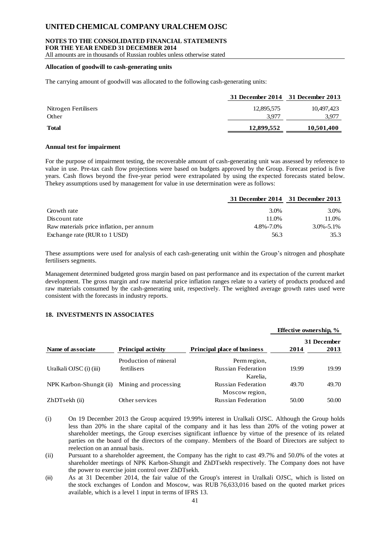#### **NOTES TO THE CONSOLIDATED FINANCIAL STATEMENTS FOR THE YEAR ENDED 31 DECEMBER 2014**

All amounts are in thousands of Russian roubles unless otherwise stated

#### **Allocation of goodwill to cash-generating units**

The carrying amount of goodwill was allocated to the following cash-generating units:

|                      |            | 31 December 2014 31 December 2013 |
|----------------------|------------|-----------------------------------|
| Nitrogen Fertilisers | 12,895,575 | 10,497,423                        |
| Other                | 3.977      | 3.977                             |
| <b>Total</b>         | 12,899,552 | 10,501,400                        |

#### **Annual test for impairment**

For the purpose of impairment testing, the recoverable amount of cash-generating unit was assessed by reference to value in use. Pre-tax cash flow projections were based on budgets approved by the Group. Forecast period is five years. Cash flows beyond the five-year period were extrapolated by using the expected forecasts stated below. Thekey assumptions used by management for value in use determination were as follows:

|                                          |                 | 31 December 2014 31 December 2013 |
|------------------------------------------|-----------------|-----------------------------------|
| Growth rate                              | 3.0%            | 3.0%                              |
| Discount rate                            | 11.0%           | 11.0%                             |
| Raw materials price inflation, per annum | $4.8\% - 7.0\%$ | $3.0\% - 5.1\%$                   |
| Exchange rate (RUR to 1 USD)             | 56.3            | 35.3                              |

These assumptions were used for analysis of each cash-generating unit within the Group's nitrogen and phosphate fertilisers segments.

Management determined budgeted gross margin based on past performance and its expectation of the current market development. The gross margin and raw material price inflation ranges relate to a variety of products produced and raw materials consumed by the cash-generating unit, respectively. The weighted average growth rates used were consistent with the forecasts in industry reports.

### **18. INVESTMENTS IN ASSOCIATES**

|                         |                           |                                    | <b>Effective ownership, %</b> |             |
|-------------------------|---------------------------|------------------------------------|-------------------------------|-------------|
|                         |                           |                                    |                               | 31 December |
| Name of associate       | <b>Principal activity</b> | <b>Principal place of business</b> | 2014                          | 2013        |
|                         | Production of mineral     | Perm region,                       |                               |             |
| Uralkali OJSC (i) (iii) | fertilisers               | <b>Russian Federation</b>          | 19.99                         | 19.99       |
|                         |                           | Karelia.                           |                               |             |
| NPK Karbon-Shungit (ii) | Mining and processing     | <b>Russian Federation</b>          | 49.70                         | 49.70       |
|                         |                           | Moscow region,                     |                               |             |
| ZhDTsekh (ii)           | Other services            | <b>Russian Federation</b>          | 50.00                         | 50.00       |

- (i) On 19 December 2013 the Group acquired 19.99% interest in Uralkali OJSC. Although the Group holds less than 20% in the share capital of the company and it has less than 20% of the voting power at shareholder meetings, the Group exercises significant influence by virtue of the presence of its related parties on the board of the directors of the company. Members of the Board of Directors are subject to reelection on an annual basis.
- (ii) Pursuant to a shareholder agreement, the Company has the right to cast 49.7% and 50.0% of the votes at shareholder meetings of NPK Karbon-Shungit and ZhDTsekh respectively. The Company does not have the power to exercise joint control over ZhDTsekh.
- (iii) As at 31 December 2014, the fair value of the Group's interest in Uralkali OJSC, which is listed on the stock exchanges of London and Moscow, was RUB 76,633,016 based on the quoted market prices available, which is a level 1 input in terms of IFRS 13.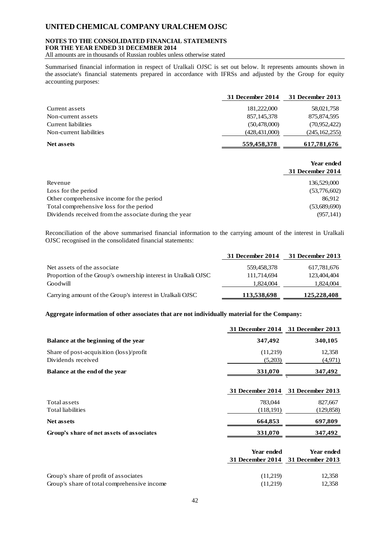### **NOTES TO THE CONSOLIDATED FINANCIAL STATEMENTS FOR THE YEAR ENDED 31 DECEMBER 2014**

All amounts are in thousands of Russian roubles unless otherwise stated

Summarised financial information in respect of Uralkali OJSC is set out below. It represents amounts shown in the associate's financial statements prepared in accordance with IFRSs and adjusted by the Group for equity accounting purposes:

|                         | 31 December 2014 | 31 December 2013 |
|-------------------------|------------------|------------------|
| Current assets          | 181,222,000      | 58,021,758       |
| Non-current assets      | 857, 145, 378    | 875,874,595      |
| Current liabilities     | (50, 478, 000)   | (70,952,422)     |
| Non-current liabilities | (428,431,000)    | (245, 162, 255)  |
| Net assets              | 559,458,378      | 617,781,676      |

|                                                       | Year ended       |  |
|-------------------------------------------------------|------------------|--|
|                                                       | 31 December 2014 |  |
| Revenue                                               | 136,529,000      |  |
| Loss for the period                                   | (53,776,602)     |  |
| Other comprehensive income for the period             | 86.912           |  |
| Total comprehensive loss for the period               | (53,689,690)     |  |
| Dividends received from the associate during the year | (957, 141)       |  |

Reconciliation of the above summarised financial information to the carrying amount of the interest in Uralkali OJSC recognised in the consolidated financial statements:

|                                                               | 31 December 2014 | 31 December 2013 |
|---------------------------------------------------------------|------------------|------------------|
| Net assets of the associate                                   | 559,458,378      | 617,781,676      |
| Proportion of the Group's ownership interest in Uralkali OJSC | 111,714,694      | 123,404,404      |
| Goodwill                                                      | 1.824,004        | 1,824,004        |
| Carrying amount of the Group's interest in Uralkali OJSC      | 113,538,698      | 125,228,408      |

#### **Aggregate information of other associates that are not individually material for the Company:**

|                                           | 31 December 2014 | 31 December 2013 |
|-------------------------------------------|------------------|------------------|
| Balance at the beginning of the year      | 347,492          | 340,105          |
| Share of post-acquisition (loss)/profit   | (11,219)         | 12,358           |
| Dividends received                        | (5,203)          | (4,971)          |
| Balance at the end of the year            | 331,070          | 347,492          |
|                                           | 31 December 2014 | 31 December 2013 |
| Total assets                              | 783,044          | 827,667          |
| <b>Total liabilities</b>                  | (118, 191)       | (129, 858)       |
| <b>Net assets</b>                         | 664,853          | 697,809          |
| Group's share of net assets of associates | 331,070          | 347,492          |
|                                           | Year ended       | Year ended       |
|                                           | 31 December 2014 | 31 December 2013 |
| Group's share of profit of associates     | (11,219)         | 12,358           |

Group's share of total comprehensive income (11,219) 12,358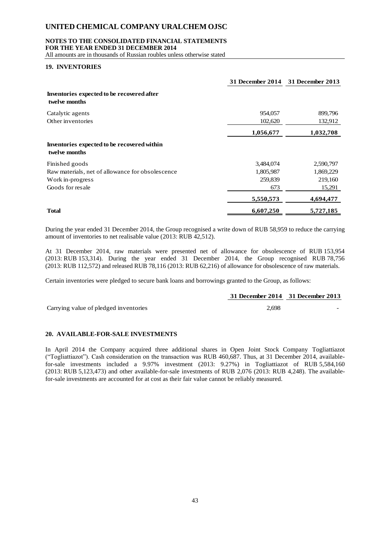#### **NOTES TO THE CONSOLIDATED FINANCIAL STATEMENTS FOR THE YEAR ENDED 31 DECEMBER 2014**

All amounts are in thousands of Russian roubles unless otherwise stated

#### **19. INVENTORIES**

|                                                              |           | 31 December 2014 31 December 2013 |
|--------------------------------------------------------------|-----------|-----------------------------------|
| Inventories expected to be recovered after<br>twelve months  |           |                                   |
| Catalytic agents                                             | 954,057   | 899,796                           |
| Other inventories                                            | 102,620   | 132,912                           |
|                                                              | 1,056,677 | 1,032,708                         |
| Inventories expected to be recovered within<br>twelve months |           |                                   |
| Finished goods                                               | 3,484,074 | 2,590,797                         |
| Raw materials, net of allowance for obsolescence             | 1,805,987 | 1,869,229                         |
| Work in-progress                                             | 259,839   | 219,160                           |
| Goods for resale                                             | 673       | 15,291                            |
|                                                              | 5,550,573 | 4,694,477                         |
| <b>Total</b>                                                 | 6,607,250 | 5,727,185                         |

During the year ended 31 December 2014, the Group recognised a write down of RUB 58,959 to reduce the carrying amount of inventories to net realisable value (2013: RUB 42,512).

At 31 December 2014, raw materials were presented net of allowance for obsolescence of RUB 153,954 (2013: RUB 153,314). During the year ended 31 December 2014, the Group recognised RUB 78,756 (2013: RUB 112,572) and released RUB 78,116 (2013: RUB 62,216) of allowance for obsolescence of raw materials.

Certain inventories were pledged to secure bank loans and borrowings granted to the Group, as follows:

#### **31 December 2014 31 December 2013**

Carrying value of pledged inventories 2,698

#### **20. AVAILABLE-FOR-SALE INVESTMENTS**

In April 2014 the Company acquired three additional shares in Open Joint Stock Company Togliattiazot ("Togliattiazot"). Cash consideration on the transaction was RUB 460,687. Thus, at 31 December 2014, availablefor-sale investments included a 9.97% investment (2013: 9.27%) in Togliattiazot of RUB 5,584,160 (2013: RUB 5,123,473) and other available-for-sale investments of RUB 2,076 (2013: RUB 4,248). The availablefor-sale investments are accounted for at cost as their fair value cannot be reliably measured.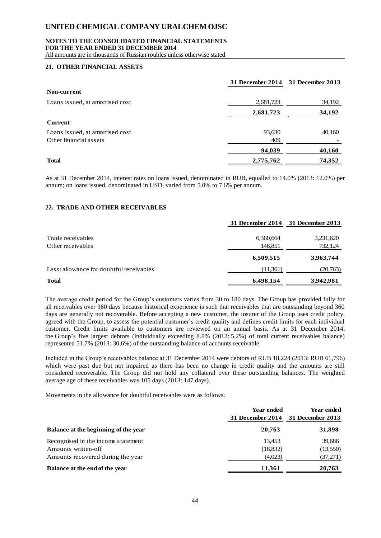#### **NOTES TO THE CONSOLIDATED FINANCIAL STATEMENTS FOR THE YEAR ENDED 31 DECEMBER 2014**

All amounts are in thousands of Russian roubles unless otherwise stated

### **21. OTHER FINANCIAL ASSETS**

|                                 | 31 December 2014 | 31 December 2013 |
|---------------------------------|------------------|------------------|
| Non-current                     |                  |                  |
| Loans issued, at amortised cost | 2,681,723        | 34,192           |
|                                 | 2,681,723        | 34,192           |
| <b>Current</b>                  |                  |                  |
| Loans issued, at amortised cost | 93,630           | 40,160           |
| Other financial assets          | 409              |                  |
|                                 | 94,039           | 40,160           |
| <b>Total</b>                    | 2,775,762        | 74,352           |

As at 31 December 2014, interest rates on loans issued, denominated in RUB, equalled to 14.0% (2013: 12.0%) per annum; on loans issued, denominated in USD, varied from 5.0% to 7.6% per annum.

#### **22. TRADE AND OTHER RECEIVABLES**

|                                          | 31 December 2014 | 31 December 2013 |
|------------------------------------------|------------------|------------------|
| Trade receivables                        | 6,360,664        | 3,231,620        |
| Other receivables                        | 148,851          | 732,124          |
|                                          | 6,509,515        | 3,963,744        |
| Less: allowance for doubtful receivables | (11,361)         | (20,763)         |
| <b>Total</b>                             | 6,498,154        | 3,942,981        |

The average credit period for the Group's customers varies from 30 to 180 days. The Group has provided fully for all receivables over 360 days because historical experience is such that receivables that are outstanding beyond 360 days are generally not recoverable. Before accepting a new customer, the insurer of the Group uses credit policy, agreed with the Group, to assess the potential customer's credit quality and defines credit limits for each individual customer. Credit limits available to customers are reviewed on an annual basis. As at 31 December 2014, the Group's five largest debtors (individually exceeding 8.8% (2013: 5.2%) of total current receivables balance) represented 51.7% (2013: 30,6%) of the outstanding balance of accounts receivable.

Included in the Group's receivables balance at 31 December 2014 were debtors of RUB 18,224 (2013: RUB 61,796) which were past due but not impaired as there has been no change in credit quality and the amounts are still considered recoverable. The Group did not hold any collateral over these outstanding balances. The weighted average age of these receivables was 105 days (2013: 147 days).

Movements in the allowance for doubtful receivables were as follows:

|                                      | Year ended<br>31 December 2014 | Year ended<br>31 December 2013 |
|--------------------------------------|--------------------------------|--------------------------------|
| Balance at the beginning of the year | 20,763                         | 31,898                         |
| Recognised in the income statement   | 13,453                         | 39,686                         |
| Amounts written-off                  | (18, 832)                      | (13,550)                       |
| Amounts recovered during the year    | (4,023)                        | (37,271)                       |
| Balance at the end of the year       | 11,361                         | 20,763                         |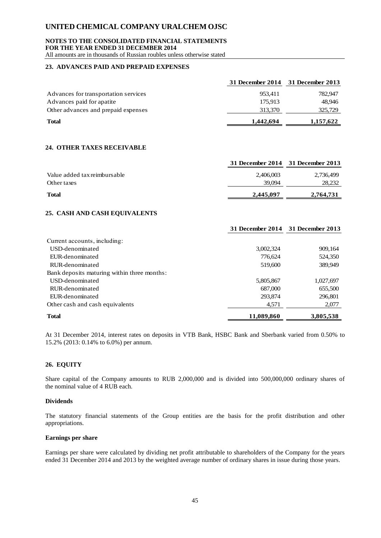#### **NOTES TO THE CONSOLIDATED FINANCIAL STATEMENTS FOR THE YEAR ENDED 31 DECEMBER 2014** All amounts are in thousands of Russian roubles unless otherwise stated

### **23. ADVANCES PAID AND PREPAID EXPENSES**

|                                      |           | 31 December 2014 31 December 2013 |
|--------------------------------------|-----------|-----------------------------------|
| Advances for transportation services | 953.411   | 782,947                           |
| Advances paid for apatite            | 175,913   | 48.946                            |
| Other advances and prepaid expenses  | 313,370   | 325,729                           |
| <b>Total</b>                         | 1,442,694 | 1,157,622                         |

#### **24. OTHER TAXES RECEIVABLE**

|                               |           | 31 December 2014 31 December 2013 |
|-------------------------------|-----------|-----------------------------------|
| Value added tax reimburs able | 2,406,003 | 2,736,499                         |
| Other taxes                   | 39,094    | 28,232                            |
| <b>Total</b>                  | 2.445.097 | 2,764,731                         |

#### **25. CASH AND CASH EQUIVALENTS**

|                                             | 31 December 2014 | 31 December 2013 |
|---------------------------------------------|------------------|------------------|
| Current accounts, including:                |                  |                  |
| USD-denominated                             | 3,002,324        | 909.164          |
| EUR-denominated                             | 776.624          | 524,350          |
| RUR-denominated                             | 519,600          | 389,949          |
| Bank deposits maturing within three months: |                  |                  |
| USD-denominated                             | 5,805,867        | 1,027,697        |
| RUR-denominated                             | 687,000          | 655,500          |
| EUR-denominated                             | 293,874          | 296,801          |
| Other cash and cash equivalents             | 4,571            | 2,077            |
| <b>Total</b>                                | 11,089,860       | 3,805,538        |

At 31 December 2014, interest rates on deposits in VTB Bank, HSBC Bank and Sberbank varied from 0.50% to 15.2% (2013: 0.14% to 6.0%) per annum.

#### **26. EQUITY**

Share capital of the Company amounts to RUB 2,000,000 and is divided into 500,000,000 ordinary shares of the nominal value of 4 RUB each.

#### **Dividends**

The statutory financial statements of the Group entities are the basis for the profit distribution and other appropriations.

#### **Earnings per share**

Earnings per share were calculated by dividing net profit attributable to shareholders of the Company for the years ended 31 December 2014 and 2013 by the weighted average number of ordinary shares in issue during those years.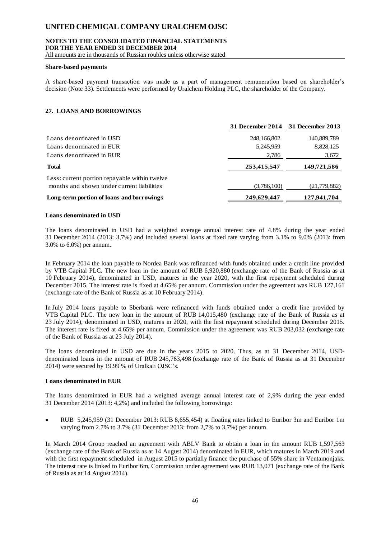### **NOTES TO THE CONSOLIDATED FINANCIAL STATEMENTS FOR THE YEAR ENDED 31 DECEMBER 2014**

### All amounts are in thousands of Russian roubles unless otherwise stated

#### **Share-based payments**

A share-based payment transaction was made as a part of management remuneration based on shareholder's decision (Note 33). Settlements were performed by Uralchem Holding PLC, the shareholder of the Company.

#### **27. LOANS AND BORROWINGS**

|                                                                                             | 31 December 2014 | 31 December 2013 |
|---------------------------------------------------------------------------------------------|------------------|------------------|
| Loans denominated in USD                                                                    | 248,166,802      | 140,889,789      |
| Loans denominated in EUR                                                                    | 5,245,959        | 8,828,125        |
| Loans denominated in RUR                                                                    | 2,786            | 3,672            |
| <b>Total</b>                                                                                | 253,415,547      | 149,721,586      |
| Less: current portion repayable within twelve<br>months and shown under current liabilities | (3,786,100)      | (21,779,882)     |
| Long-term portion of loans and borrowings                                                   | 249,629,447      | 127,941,704      |

#### **Loans denominated in USD**

The loans denominated in USD had a weighted average annual interest rate of 4.8% during the year ended 31 December 2014 (2013: 3,7%) and included several loans at fixed rate varying from 3.1% to 9.0% (2013: from 3.0% to 6.0%) per annum.

In February 2014 the loan payable to Nordea Bank was refinanced with funds obtained under a credit line provided by VTB Capital PLC. The new loan in the amount of RUB 6,920,880 (exchange rate of the Bank of Russia as at 10 February 2014), denominated in USD, matures in the year 2020, with the first repayment scheduled during December 2015. The interest rate is fixed at 4.65% per annum. Commission under the agreement was RUB 127,161 (exchange rate of the Bank of Russia as at 10 February 2014).

In July 2014 loans payable to Sberbank were refinanced with funds obtained under a credit line provided by VTB Capital PLC. The new loan in the amount of RUB 14,015,480 (exchange rate of the Bank of Russia as at 23 July 2014), denominated in USD, matures in 2020, with the first repayment scheduled during December 2015. The interest rate is fixed at 4.65% per annum. Commission under the agreement was RUB 203,032 (exchange rate of the Bank of Russia as at 23 July 2014).

The loans denominated in USD are due in the years 2015 to 2020. Thus, as at 31 December 2014, USDdenominated loans in the amount of RUB 245,763,498 (exchange rate of the Bank of Russia as at 31 December 2014) were secured by 19.99 % of Uralkali OJSC's.

#### **Loans denominated in EUR**

The loans denominated in EUR had a weighted average annual interest rate of 2,9% during the year ended 31 December 2014 (2013: 4,2%) and included the following borrowings:

 RUB 5,245,959 (31 December 2013: RUB 8,655,454) at floating rates linked to Euribor 3m and Euribor 1m varying from 2.7% to 3.7% (31 December 2013: from 2,7% to 3,7%) per annum.

In March 2014 Group reached an agreement with ABLV Bank to obtain a loan in the amount RUB 1,597,563 (exchange rate of the Bank of Russia as at 14 August 2014) denominated in EUR, which matures in March 2019 and with the first repayment scheduled in August 2015 to partially finance the purchase of 55% share in Ventamonjaks. The interest rate is linked to Euribor 6m, Commission under agreement was RUB 13,071 (exchange rate of the Bank of Russia as at 14 August 2014).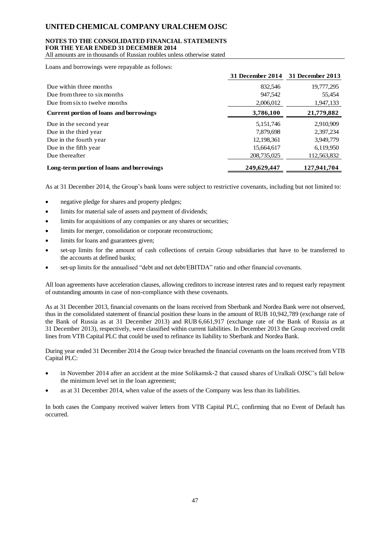### **NOTES TO THE CONSOLIDATED FINANCIAL STATEMENTS FOR THE YEAR ENDED 31 DECEMBER 2014**

All amounts are in thousands of Russian roubles unless otherwise stated

Loans and borrowings were repayable as follows:

|                                                | 31 December 2014 | 31 December 2013 |
|------------------------------------------------|------------------|------------------|
| Due within three months                        | 832,546          | 19,777,295       |
| Due from three to six months                   | 947,542          | 55,454           |
| Due from six to twelve months                  | 2,006,012        | 1,947,133        |
| <b>Current portion of loans and borrowings</b> | 3,786,100        | 21,779,882       |
| Due in the second year                         | 5,151,746        | 2.910.909        |
| Due in the third year                          | 7,879,698        | 2,397,234        |
| Due in the fourth year                         | 12,198,361       | 3,949,779        |
| Due in the fifth year                          | 15,664,617       | 6,119,950        |
| Due thereafter                                 | 208,735,025      | 112,563,832      |
| Long-term portion of loans and borrowings      | 249,629,447      | 127,941,704      |

As at 31 December 2014, the Group's bank loans were subject to restrictive covenants, including but not limited to:

- negative pledge for shares and property pledges;
- limits for material sale of assets and payment of dividends;
- limits for acquisitions of any companies or any shares or securities;
- limits for merger, consolidation or corporate reconstructions;
- limits for loans and guarantees given;
- set-up limits for the amount of cash collections of certain Group subsidiaries that have to be transferred to the accounts at defined banks;
- set-up limits for the annualised "debt and net debt/EBITDA" ratio and other financial covenants.

All loan agreements have acceleration clauses, allowing creditors to increase interest rates and to request early repayment of outstanding amounts in case of non-compliance with these covenants.

As at 31 December 2013, financial covenants on the loans received from Sberbank and Nordea Bank were not observed, thus in the consolidated statement of financial position these loans in the amount of RUB 10,942,789 (exchange rate of the Bank of Russia as at 31 December 2013) and RUB 6,661,917 (exchange rate of the Bank of Russia as at 31 December 2013), respectively, were classified within current liabilities. In December 2013 the Group received credit lines from VTB Capital PLC that could be used to refinance its liability to Sberbank and Nordea Bank.

During year ended 31 December 2014 the Group twice breached the financial covenants on the loans received from VTB Capital PLC:

- in November 2014 after an accident at the mine Solikamsk-2 that caused shares of Uralkali OJSC's fall below the minimum level set in the loan agreement;
- as at 31 December 2014, when value of the assets of the Company was less than its liabilities.

In both cases the Company received waiver letters from VTB Capital PLC, confirming that no Event of Default has occurred.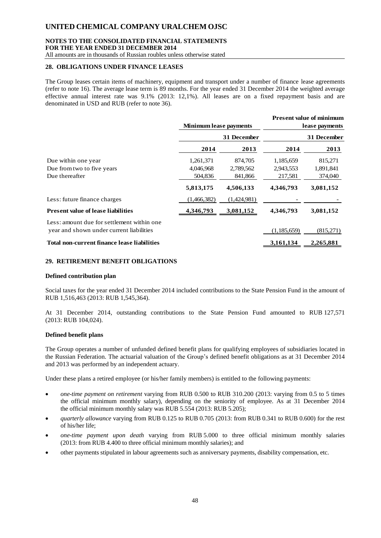#### **NOTES TO THE CONSOLIDATED FINANCIAL STATEMENTS FOR THE YEAR ENDED 31 DECEMBER 2014** All amounts are in thousands of Russian roubles unless otherwise stated

#### **28. OBLIGATIONS UNDER FINANCE LEASES**

The Group leases certain items of machinery, equipment and transport under a number of finance lease agreements (refer to note 16). The average lease term is 89 months. For the year ended 31 December 2014 the weighted average effective annual interest rate was 9.1% (2013: 12,1%). All leases are on a fixed repayment basis and are denominated in USD and RUB (refer to note 36).

|                                                                                        | Minimum lease payments |             |             | <b>Present value of minimum</b><br>lease payments |
|----------------------------------------------------------------------------------------|------------------------|-------------|-------------|---------------------------------------------------|
|                                                                                        |                        | 31 December |             | 31 December                                       |
|                                                                                        | 2014                   | 2013        | 2014        | 2013                                              |
| Due within one year                                                                    | 1,261,371              | 874,705     | 1,185,659   | 815,271                                           |
| Due from two to five years                                                             | 4,046,968              | 2,789,562   | 2,943,553   | 1,891,841                                         |
| Due thereafter                                                                         | 504,836                | 841,866     | 217,581     | 374,040                                           |
|                                                                                        | 5,813,175              | 4,506,133   | 4,346,793   | 3,081,152                                         |
| Less: future finance charges                                                           | (1,466,382)            | (1,424,981) |             |                                                   |
| <b>Present value of lease liabilities</b>                                              | 4,346,793              | 3,081,152   | 4,346,793   | 3,081,152                                         |
| Less: amount due for settlement within one<br>year and shown under current liabilities |                        |             | (1,185,659) | (815,271)                                         |
| Total non-current finance lease liabilities                                            |                        |             | 3,161,134   | 2,265,881                                         |

#### **29. RETIREMENT BENEFIT OBLIGATIONS**

#### **Defined contribution plan**

Social taxes for the year ended 31 December 2014 included contributions to the State Pension Fund in the amount of RUB 1,516,463 (2013: RUB 1,545,364).

At 31 December 2014, outstanding contributions to the State Pension Fund amounted to RUB 127,571 (2013: RUB 104,024).

#### **Defined benefit plans**

The Group operates a number of unfunded defined benefit plans for qualifying employees of subsidiaries located in the Russian Federation. The actuarial valuation of the Group's defined benefit obligations as at 31 December 2014 and 2013 was performed by an independent actuary.

Under these plans a retired employee (or his/her family members) is entitled to the following payments:

- *one-time payment on retirement* varying from RUB 0.500 to RUB 310.200 (2013: varying from 0.5 to 5 times the official minimum monthly salary), depending on the seniority of employee. As at 31 December 2014 the official minimum monthly salary was RUB 5.554 (2013: RUB 5.205);
- *quarterly allowance* varying from RUB 0.125 to RUB 0.705 (2013: from RUB 0.341 to RUB 0.600) for the rest of his/her life;
- *one-time payment upon death* varying from RUB 5.000 to three official minimum monthly salaries (2013: from RUB 4.400 to three official minimum monthly salaries); and
- other payments stipulated in labour agreements such as anniversary payments, disability compensation, etc.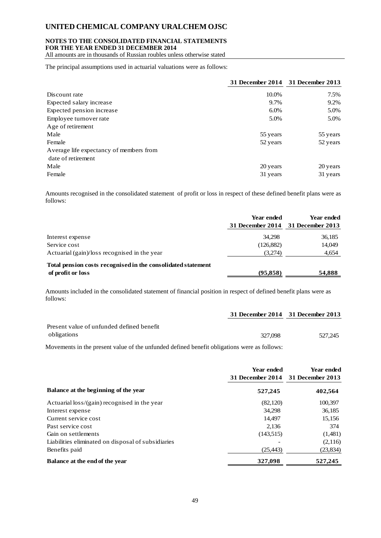#### **NOTES TO THE CONSOLIDATED FINANCIAL STATEMENTS FOR THE YEAR ENDED 31 DECEMBER 2014**

All amounts are in thousands of Russian roubles unless otherwise stated

The principal assumptions used in actuarial valuations were as follows:

|                                         | 31 December 2014 | 31 December 2013 |
|-----------------------------------------|------------------|------------------|
| Discount rate                           | 10.0%            | 7.5%             |
| Expected salary increase                | 9.7%             | 9.2%             |
| Expected pension increase               | $6.0\%$          | 5.0%             |
| Employee turnover rate                  | 5.0%             | 5.0%             |
| Age of retirement                       |                  |                  |
| Male                                    | 55 years         | 55 years         |
| Female                                  | 52 years         | 52 years         |
| Average life expectancy of members from |                  |                  |
| date of retirement                      |                  |                  |
| Male                                    | 20 years         | 20 years         |
| Female                                  | 31 years         | 31 years         |

Amounts recognised in the consolidated statement of profit or loss in respect of these defined benefit plans were as follows:

|                                                              | Year ended<br>31 December 2014 | Year ended<br>31 December 2013 |
|--------------------------------------------------------------|--------------------------------|--------------------------------|
| Interest expense                                             | 34.298                         | 36,185                         |
| Service cost                                                 | (126, 882)                     | 14,049                         |
| Actuarial (gain)/loss recognised in the year                 | (3,274)                        | 4,654                          |
| Total pension costs recognised in the consolidated statement |                                |                                |
| of profit or loss                                            | (95, 858)                      | 54,888                         |

Amounts included in the consolidated statement of financial position in respect of defined benefit plans were as follows:

|                                           | 31 December 2014 31 December 2013 |         |
|-------------------------------------------|-----------------------------------|---------|
| Present value of unfunded defined benefit |                                   |         |
| obligations                               | 327.098                           | 527,245 |
|                                           |                                   |         |

Movements in the present value of the unfunded defined benefit obligations were as follows:

|                                                    | Year ended<br>31 December 2014 | Year ended<br>31 December 2013 |
|----------------------------------------------------|--------------------------------|--------------------------------|
| Balance at the beginning of the year               | 527,245                        | 402,564                        |
| Actuarial loss/(gain) recognised in the year       | (82, 120)                      | 100,397                        |
| Interest expense                                   | 34.298                         | 36,185                         |
| Current service cost                               | 14.497                         | 15,156                         |
| Past service cost                                  | 2,136                          | 374                            |
| Gain on settlements                                | (143, 515)                     | (1,481)                        |
| Liabilities eliminated on disposal of subsidiaries |                                | (2,116)                        |
| Benefits paid                                      | (25, 443)                      | (23, 834)                      |
| Balance at the end of the year                     | 327,098                        | 527,245                        |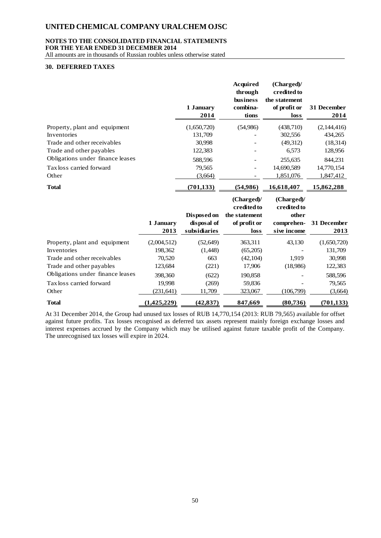### **NOTES TO THE CONSOLIDATED FINANCIAL STATEMENTS FOR THE YEAR ENDED 31 DECEMBER 2014**

All amounts are in thousands of Russian roubles unless otherwise stated

#### **30. DEFERRED TAXES**

|                                  |                   | 1 January<br>2014                          | <b>Acquired</b><br>through<br><b>business</b><br>combina-<br>tions | (Charged)/<br>credited to<br>the statement<br>of profit or<br>loss | 31 December<br>2014 |
|----------------------------------|-------------------|--------------------------------------------|--------------------------------------------------------------------|--------------------------------------------------------------------|---------------------|
| Property, plant and equipment    |                   | (1,650,720)                                | (54,986)                                                           | (438,710)                                                          | (2,144,416)         |
| Inventories                      |                   | 131,709                                    |                                                                    | 302,556                                                            | 434,265             |
| Trade and other receivables      |                   | 30,998                                     |                                                                    | (49,312)                                                           | (18, 314)           |
| Trade and other payables         |                   | 122,383                                    |                                                                    | 6,573                                                              | 128,956             |
| Obligations under finance leases |                   | 588,596                                    |                                                                    | 255,635                                                            | 844,231             |
| Tax loss carried forward         |                   | 79,565                                     |                                                                    | 14,690,589                                                         | 14,770,154          |
| Other                            |                   | (3,664)                                    |                                                                    | 1,851,076                                                          | 1,847,412           |
| <b>Total</b>                     |                   | (701, 133)                                 | (54,986)                                                           | 16,618,407                                                         | 15,862,288          |
|                                  | 1 January<br>2013 | Disposed on<br>disposal of<br>subsidiaries | (Charged)/<br>credited to<br>the statement<br>of profit or<br>loss | (Charged)/<br>credited to<br>other<br>comprehen-<br>sive income    | 31 December<br>2013 |
| Property, plant and equipment    | (2,004,512)       | (52, 649)                                  | 363,311                                                            | 43,130                                                             | (1,650,720)         |
| <b>Inventories</b>               |                   |                                            |                                                                    |                                                                    |                     |
|                                  | 198,362           | (1,448)                                    | (65,205)                                                           |                                                                    | 131,709             |
| Trade and other receivables      | 70,520            | 663                                        | (42, 104)                                                          | 1,919                                                              | 30,998              |
| Trade and other payables         | 123,684           | (221)                                      | 17,906                                                             | (18,986)                                                           | 122,383             |
| Obligations under finance leases | 398,360           | (622)                                      | 190,858                                                            |                                                                    | 588,596             |
| Tax loss carried forward         | 19,998            | (269)                                      | 59,836                                                             |                                                                    | 79,565              |
| Other                            | (231, 641)        | 11,709                                     | 323,067                                                            | (106,799)                                                          | (3,664)             |

At 31 December 2014, the Group had unused tax losses of RUB 14,770,154 (2013: RUB 79,565) available for offset against future profits. Tax losses recognised as deferred tax assets represent mainly foreign exchange losses and interest expenses accrued by the Company which may be utilised against future taxable profit of the Company. The unrecognised tax losses will expire in 2024.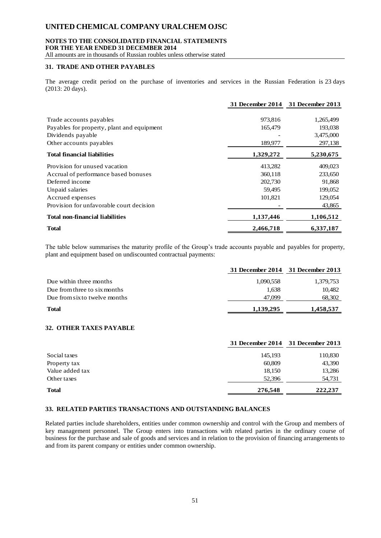### **NOTES TO THE CONSOLIDATED FINANCIAL STATEMENTS FOR THE YEAR ENDED 31 DECEMBER 2014**

All amounts are in thousands of Russian roubles unless otherwise stated

### **31. TRADE AND OTHER PAYABLES**

The average credit period on the purchase of inventories and services in the Russian Federation is 23 days (2013: 20 days).

|                                            |           | 31 December 2014 31 December 2013 |
|--------------------------------------------|-----------|-----------------------------------|
| Trade accounts payables                    | 973,816   | 1,265,499                         |
| Payables for property, plant and equipment | 165,479   | 193,038                           |
| Dividends payable                          |           | 3,475,000                         |
| Other accounts payables                    | 189,977   | 297,138                           |
| <b>Total financial liabilities</b>         | 1,329,272 | 5,230,675                         |
| Provision for unused vacation              | 413,282   | 409,023                           |
| Accrual of performance based bonuses       | 360,118   | 233,650                           |
| Deferred income                            | 202,730   | 91,868                            |
| Unpaid salaries                            | 59,495    | 199,052                           |
| Accrued expenses                           | 101,821   | 129,054                           |
| Provision for unfavorable court decision   |           | 43,865                            |
| <b>Total non-financial liabilities</b>     | 1,137,446 | 1,106,512                         |
| Total                                      | 2,466,718 | 6,337,187                         |

The table below summarises the maturity profile of the Group's trade accounts payable and payables for property, plant and equipment based on undiscounted contractual payments:

|                               |           | 31 December 2014 31 December 2013 |
|-------------------------------|-----------|-----------------------------------|
| Due within three months       | 1,090,558 | 1,379,753                         |
| Due from three to six months  | 1.638     | 10.482                            |
| Due from six to twelve months | 47.099    | 68.302                            |
| <b>Total</b>                  | 1,139,295 | 1,458,537                         |

#### **32. OTHER TAXES PAYABLE**

|                 |         | 31 December 2014 31 December 2013 |
|-----------------|---------|-----------------------------------|
| Social taxes    | 145,193 | 110,830                           |
| Property tax    | 60,809  | 43,390                            |
| Value added tax | 18,150  | 13,286                            |
| Other taxes     | 52,396  | 54,731                            |
| <b>Total</b>    | 276,548 | 222,237                           |

#### **33. RELATED PARTIES TRANSACTIONS AND OUTSTANDING BALANCES**

Related parties include shareholders, entities under common ownership and control with the Group and members of key management personnel. The Group enters into transactions with related parties in the ordinary course of business for the purchase and sale of goods and services and in relation to the provision of financing arrangements to and from its parent company or entities under common ownership.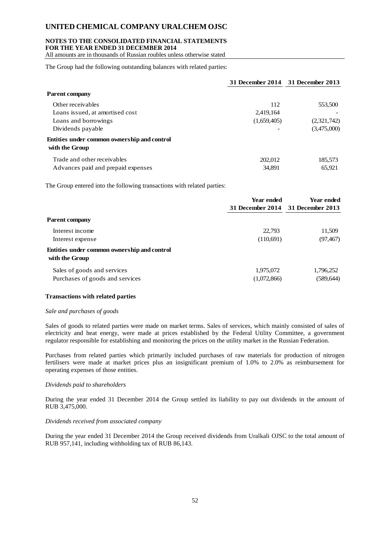#### **NOTES TO THE CONSOLIDATED FINANCIAL STATEMENTS FOR THE YEAR ENDED 31 DECEMBER 2014**

All amounts are in thousands of Russian roubles unless otherwise stated

The Group had the following outstanding balances with related parties:

|                                                               |             | 31 December 2014 31 December 2013 |
|---------------------------------------------------------------|-------------|-----------------------------------|
| <b>Parent company</b>                                         |             |                                   |
| Other receivables                                             | 112         | 553,500                           |
| Loans issued, at amortised cost                               | 2,419,164   |                                   |
| Loans and borrowings                                          | (1,659,405) | (2,321,742)                       |
| Dividends payable                                             |             | (3,475,000)                       |
| Entities under common ownership and control<br>with the Group |             |                                   |
| Trade and other receivables                                   | 202,012     | 185,573                           |
| Advances paid and prepaid expenses                            | 34.891      | 65,921                            |

The Group entered into the following transactions with related parties:

|                                                                | Year ended               | <b>Year ended</b><br>31 December 2014 31 December 2013 |
|----------------------------------------------------------------|--------------------------|--------------------------------------------------------|
| <b>Parent company</b>                                          |                          |                                                        |
| Interest income                                                | 22.793                   | 11,509                                                 |
| Interest expense                                               | (110,691)                | (97, 467)                                              |
| Entities under common ownership and control<br>with the Group  |                          |                                                        |
| Sales of goods and services<br>Purchases of goods and services | 1,975,072<br>(1,072,866) | 1,796,252<br>(589, 644)                                |

#### **Transactions with related parties**

#### *Sale and purchases of goods*

Sales of goods to related parties were made on market terms. Sales of services, which mainly consisted of sales of electricity and heat energy, were made at prices established by the Federal Utility Committee, a government regulator responsible for establishing and monitoring the prices on the utility market in the Russian Federation.

Purchases from related parties which primarily included purchases of raw materials for production of nitrogen fertilisers were made at market prices plus an insignificant premium of 1.0% to 2.0% as reimbursement for operating expenses of those entities.

#### *Dividends paid to shareholders*

During the year ended 31 December 2014 the Group settled its liability to pay out dividends in the amount of RUB 3,475,000.

#### *Dividends received from associated company*

During the year ended 31 December 2014 the Group received dividends from Uralkali OJSC to the total amount of RUB 957,141, including withholding tax of RUB 86,143.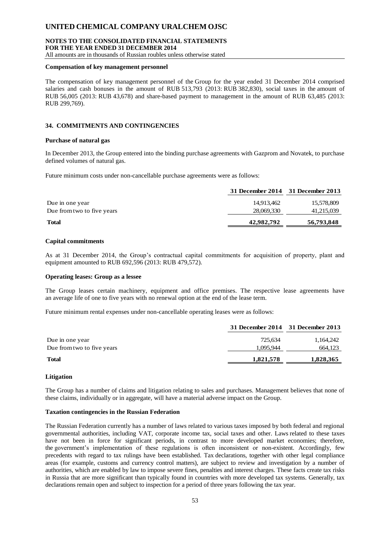### **NOTES TO THE CONSOLIDATED FINANCIAL STATEMENTS FOR THE YEAR ENDED 31 DECEMBER 2014**

All amounts are in thousands of Russian roubles unless otherwise stated

#### **Compensation of key management personnel**

The compensation of key management personnel of the Group for the year ended 31 December 2014 comprised salaries and cash bonuses in the amount of RUB 513,793 (2013: RUB 382,830), social taxes in the amount of RUB 56,005 (2013: RUB 43,678) and share-based payment to management in the amount of RUB 63,485 (2013: RUB 299,769).

#### **34. COMMITMENTS AND CONTINGENCIES**

#### **Purchase of natural gas**

In December 2013, the Group entered into the binding purchase agreements with Gazprom and Novatek, to purchase defined volumes of natural gas.

Future minimum costs under non-cancellable purchase agreements were as follows:

|                            |            | 31 December 2014 31 December 2013 |
|----------------------------|------------|-----------------------------------|
| Due in one year            | 14,913,462 | 15,578,809                        |
| Due from two to five years | 28,069,330 | 41,215,039                        |
| <b>Total</b>               | 42,982,792 | 56,793,848                        |

#### **Capital commitments**

As at 31 December 2014, the Group's contractual capital commitments for acquisition of property, plant and equipment amounted to RUB 692,596 (2013: RUB 479,572).

#### **Operating leases: Group as a lessee**

The Group leases certain machinery, equipment and office premises. The respective lease agreements have an average life of one to five years with no renewal option at the end of the lease term.

Future minimum rental expenses under non-cancellable operating leases were as follows:

|                            |           | 31 December 2014 31 December 2013 |
|----------------------------|-----------|-----------------------------------|
| Due in one year            | 725.634   | 1,164,242                         |
| Due from two to five years | 1,095,944 | 664,123                           |
| <b>Total</b>               | 1,821,578 | 1,828,365                         |

#### **Litigation**

The Group has a number of claims and litigation relating to sales and purchases. Management believes that none of these claims, individually or in aggregate, will have a material adverse impact on the Group.

#### **Taxation contingencies in the Russian Federation**

The Russian Federation currently has a number of laws related to various taxes imposed by both federal and regional governmental authorities, including VAT, corporate income tax, social taxes and other. Laws related to these taxes have not been in force for significant periods, in contrast to more developed market economies; therefore, the government's implementation of these regulations is often inconsistent or non-existent. Accordingly, few precedents with regard to tax rulings have been established. Tax declarations, together with other legal compliance areas (for example, customs and currency control matters), are subject to review and investigation by a number of authorities, which are enabled by law to impose severe fines, penalties and interest charges. These facts create tax risks in Russia that are more significant than typically found in countries with more developed tax systems. Generally, tax declarations remain open and subject to inspection for a period of three years following the tax year.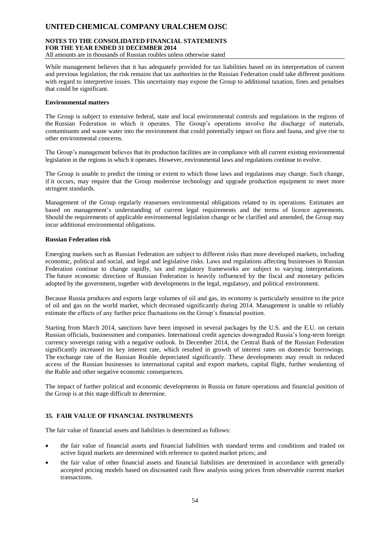#### **NOTES TO THE CONSOLIDATED FINANCIAL STATEMENTS FOR THE YEAR ENDED 31 DECEMBER 2014** All amounts are in thousands of Russian roubles unless otherwise stated

While management believes that it has adequately provided for tax liabilities based on its interpretation of current and previous legislation, the risk remains that tax authorities in the Russian Federation could take different positions with regard to interpretive issues. This uncertainty may expose the Group to additional taxation, fines and penalties that could be significant.

#### **Environmental matters**

The Group is subject to extensive federal, state and local environmental controls and regulations in the regions of the Russian Federation in which it operates. The Group's operations involve the discharge of materials, contaminants and waste water into the environment that could potentially impact on flora and fauna, and give rise to other environmental concerns.

The Group's management believes that its production facilities are in compliance with all current existing environmental legislation in the regions in which it operates. However, environmental laws and regulations continue to evolve.

The Group is unable to predict the timing or extent to which those laws and regulations may change. Such change, if it occurs, may require that the Group modernise technology and upgrade production equipment to meet more stringent standards.

Management of the Group regularly reassesses environmental obligations related to its operations. Estimates are based on management's understanding of current legal requirements and the terms of licence agreements. Should the requirements of applicable environmental legislation change or be clarified and amended, the Group may incur additional environmental obligations.

#### **Russian Federation risk**

Emerging markets such as Russian Federation are subject to different risks than more developed markets, including economic, political and social, and legal and legislative risks. Laws and regulations affecting businesses in Russian Federation continue to change rapidly, tax and regulatory frameworks are subject to varying interpretations. The future economic direction of Russian Federation is heavily influenced by the fiscal and monetary policies adopted by the government, together with developments in the legal, regulatory, and political environment.

Because Russia produces and exports large volumes of oil and gas, its economy is particularly sensitive to the price of oil and gas on the world market, which decreased significantly during 2014. Management is unable to reliably estimate the effects of any further price fluctuations on the Group's financial position.

Starting from March 2014, sanctions have been imposed in several packages by the U.S. and the E.U. on certain Russian officials, businessmen and companies. International credit agencies downgraded Russia's long-term foreign currency sovereign rating with a negative outlook. In December 2014, the Central Bank of the Russian Federation significantly increased its key interest rate, which resulted in growth of interest rates on domestic borrowings. The exchange rate of the Russian Rouble depreciated significantly. These developments may result in reduced access of the Russian businesses to international capital and export markets, capital flight, further weakening of the Ruble and other negative economic consequences.

The impact of further political and economic developments in Russia on future operations and financial position of the Group is at this stage difficult to determine.

### **35. FAIR VALUE OF FINANCIAL INSTRUMENTS**

The fair value of financial assets and liabilities is determined as follows:

- the fair value of financial assets and financial liabilities with standard terms and conditions and traded on active liquid markets are determined with reference to quoted market prices; and
- the fair value of other financial assets and financial liabilities are determined in accordance with generally accepted pricing models based on discounted cash flow analysis using prices from observable current market transactions.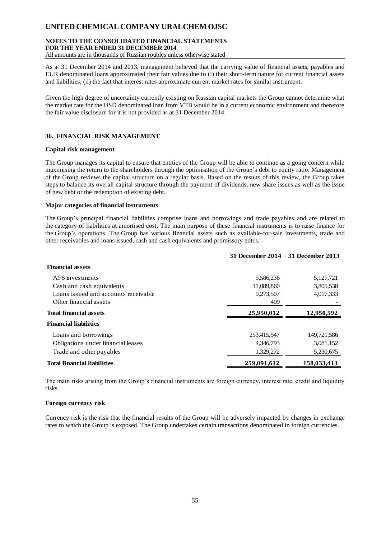#### **NOTES TO THE CONSOLIDATED FINANCIAL STATEMENTS FOR THE YEAR ENDED 31 DECEMBER 2014** All amounts are in thousands of Russian roubles unless otherwise stated

As at 31 December 2014 and 2013, management believed that the carrying value of financial assets, payables and

EUR denominated loans approximated their fair values due to (i) their short-term nature for current financial assets and liabilities, (ii) the fact that interest rates approximate current market rates for similar instrument.

Given the high degree of uncertainty currently existing on Russian capital markets the Group cannot determine what the market rate for the USD denominated loan from VTB would be in a current economic environment and therefore the fair value disclosure for it is not provided as at 31 December 2014.

### **36. FINANCIAL RISK MANAGEMENT**

#### **Capital risk management**

The Group manages its capital to ensure that entities of the Group will be able to continue as a going concern while maximising the return to the shareholders through the optimisation of the Group's debt to equity ratio. Management of the Group reviews the capital structure on a regular basis. Based on the results of this review, the Group takes steps to balance its overall capital structure through the payment of dividends, new share issues as well as the issue of new debt or the redemption of existing debt.

#### **Major categories of financial instruments**

The Group's principal financial liabilities comprise loans and borrowings and trade payables and are related to the category of liabilities at amortised cost. The main purpose of these financial instruments is to raise finance for the Group's operations. The Group has various financial assets such as available-for-sale investments, trade and other receivables and loans issued, cash and cash equivalents and promissory notes.

|                                      | 31 December 2014 31 December 2013 |             |
|--------------------------------------|-----------------------------------|-------------|
| <b>Financial assets</b>              |                                   |             |
| AFS investments                      | 5,586,236                         | 5,127,721   |
| Cash and cash equivalents            | 11,089,860                        | 3,805,538   |
| Loans issued and accounts receivable | 9,273,507                         | 4,017,333   |
| Other financial assets               | 409                               |             |
| <b>Total financial assets</b>        | 25,950,012                        | 12,950,592  |
| <b>Financial liabilities</b>         |                                   |             |
| Loans and borrowings                 | 253,415,547                       | 149,721,586 |
| Obligations under financial leases   | 4,346,793                         | 3,081,152   |
| Trade and other payables             | 1,329,272                         | 5,230,675   |
| <b>Total financial liabilities</b>   | 259,091,612                       | 158,033,413 |

The main risks arising from the Group's financial instruments are foreign currency, interest rate, credit and liquidity risks.

#### **Foreign currency risk**

Currency risk is the risk that the financial results of the Group will be adversely impacted by changes in exchange rates to which the Group is exposed. The Group undertakes certain transactions denominated in foreign currencies.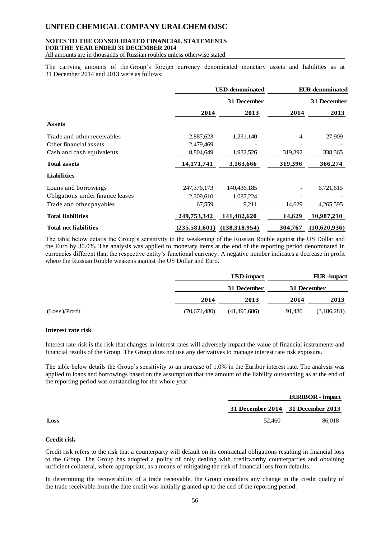### **NOTES TO THE CONSOLIDATED FINANCIAL STATEMENTS FOR THE YEAR ENDED 31 DECEMBER 2014**

All amounts are in thousands of Russian roubles unless otherwise stated

The carrying amounts of the Group's foreign currency denominated monetary assets and liabilities as at 31 December 2014 and 2013 were as follows:

|                                  | <b>USD-denominated</b> |               | <b>EUR-denominated</b> |              |  |
|----------------------------------|------------------------|---------------|------------------------|--------------|--|
|                                  |                        | 31 December   | 31 December            |              |  |
|                                  | 2014                   | 2013          | 2014                   | 2013         |  |
| <b>Assets</b>                    |                        |               |                        |              |  |
| Trade and other receivables      | 2,887,623              | 1,231,140     | $\overline{4}$         | 27,909       |  |
| Other financial assets           | 2,479,469              |               |                        |              |  |
| Cash and cash equivalents        | 8,804,649              | 1,932,526     | 319,392                | 338,365      |  |
| <b>Total assets</b>              | 14,171,741             | 3,163,666     | 319,396                | 366,274      |  |
| <b>Liabilities</b>               |                        |               |                        |              |  |
| Loans and borrowings             | 247, 376, 173          | 140,436,185   |                        | 6,721,615    |  |
| Obligations under finance leases | 2,309,610              | 1,037,224     |                        |              |  |
| Trade and other payables         | 67,559                 | 9,211         | 14,629                 | 4,265,595    |  |
| <b>Total liabilities</b>         | 249,753,342            | 141,482,620   | 14,629                 | 10,987,210   |  |
| <b>Total net liabilities</b>     | (235,581,601)          | (138,318,954) | 304,767                | (10,620,936) |  |

The table below details the Group's sensitivity to the weakening of the Russian Rouble against the US Dollar and the Euro by 30.0%. The analysis was applied to monetary items at the end of the reporting period denominated in currencies different than the respective entity's functional currency. A negative number indicates a decrease in profit where the Russian Rouble weakens against the US Dollar and Euro.

|               |              | USD-impact     |             | <b>EUR</b> -impact |  |
|---------------|--------------|----------------|-------------|--------------------|--|
|               |              | 31 December    | 31 December |                    |  |
|               | 2014         | 2013           | 2014        | 2013               |  |
| (Loss)/Profit | (70,674,480) | (41, 495, 686) | 91,430      | (3,186,281)        |  |

#### **Interest rate risk**

Interest rate risk is the risk that changes in interest rates will adversely impact the value of financial instruments and financial results of the Group. The Group does not use any derivatives to manage interest rate risk exposure.

The table below details the Group's sensitivity to an increase of 1.0% in the Euribor interest rate. The analysis was applied to loans and borrowings based on the assumption that the amount of the liability outstanding as at the end of the reporting period was outstanding for the whole year.

|      | <b>EURIBOR</b> - impact           |        |
|------|-----------------------------------|--------|
|      | 31 December 2014 31 December 2013 |        |
| Loss | 52,460                            | 86.018 |

#### **Credit risk**

Credit risk refers to the risk that a counterparty will default on its contractual obligations resulting in financial loss to the Group. The Group has adopted a policy of only dealing with creditworthy counterparties and obtaining sufficient collateral, where appropriate, as a means of mitigating the risk of financial loss from defaults.

In determining the recoverability of a trade receivable, the Group considers any change in the credit quality of the trade receivable from the date credit was initially granted up to the end of the reporting period.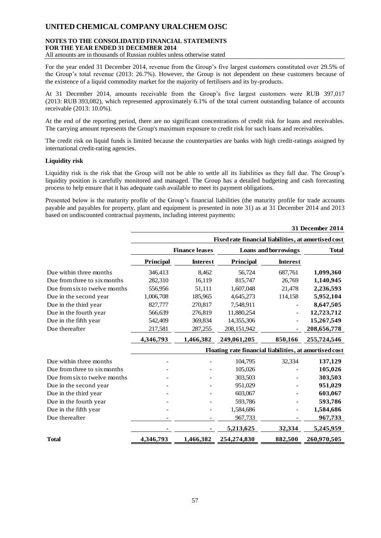### **NOTES TO THE CONSOLIDATED FINANCIAL STATEMENTS FOR THE YEAR ENDED 31 DECEMBER 2014**

All amounts are in thousands of Russian roubles unless otherwise stated

For the year ended 31 December 2014, revenue from the Group's five largest customers constituted over 29.5% of the Group's total revenue (2013: 26.7%). However, the Group is not dependent on these customers because of the existence of a liquid commodity market for the majority of fertilisers and its by-products.

At 31 December 2014, amounts receivable from the Group's five largest customers were RUB 397,017 (2013: RUB 393,082), which represented approximately 6.1% of the total current outstanding balance of accounts receivable (2013: 10.0%).

At the end of the reporting period, there are no significant concentrations of credit risk for loans and receivables. The carrying amount represents the Group's maximum exposure to credit risk for such loans and receivables.

The credit risk on liquid funds is limited because the counterparties are banks with high credit-ratings assigned by international credit-rating agencies.

#### **Liquidity risk**

Liquidity risk is the risk that the Group will not be able to settle all its liabilities as they fall due. The Group's liquidity position is carefully monitored and managed. The Group has a detailed budgeting and cash forecasting process to help ensure that it has adequate cash available to meet its payment obligations.

Presented below is the maturity profile of the Group's financial liabilities (the maturity profile for trade accounts payable and payables for property, plant and equipment is presented in note 31) as at 31 December 2014 and 2013 based on undiscounted contractual payments, including interest payments:

|                               |                                                     |                 |                                                        |                      | 31 December 2014 |
|-------------------------------|-----------------------------------------------------|-----------------|--------------------------------------------------------|----------------------|------------------|
|                               | Fixed rate financial liabilities, at amortised cost |                 |                                                        |                      |                  |
|                               | <b>Finance leases</b>                               |                 |                                                        | Loans and borrowings |                  |
|                               | Principal                                           | <b>Interest</b> | Principal                                              | <b>Interest</b>      |                  |
| Due within three months       | 346,413                                             | 8,462           | 56,724                                                 | 687,761              | 1,099,360        |
| Due from three to six months  | 282,310                                             | 16,119          | 815,747                                                | 26,769               | 1,140,945        |
| Due from six to twelve months | 556,956                                             | 51,111          | 1,607,048                                              | 21,478               | 2,236,593        |
| Due in the second year        | 1,006,708                                           | 185,965         | 4,645,273                                              | 114,158              | 5,952,104        |
| Due in the third year         | 827,777                                             | 270,817         | 7,548,911                                              |                      | 8,647,505        |
| Due in the fourth year        | 566,639                                             | 276,819         | 11,880,254                                             |                      | 12,723,712       |
| Due in the fifth year         | 542,409                                             | 369,834         | 14,355,306                                             |                      | 15,267,549       |
| Due thereafter                | 217,581                                             | 287,255         | 208, 151, 942                                          |                      | 208, 656, 778    |
|                               | 4,346,793                                           | 1,466,382       | 249,061,205                                            | 850,166              | 255,724,546      |
|                               |                                                     |                 | Floating rate financial liabilities, at amortised cost |                      |                  |
| Due within three months       |                                                     |                 | 104,795                                                | 32,334               | 137,129          |
| Due from three to six months  |                                                     |                 | 105,026                                                |                      | 105,026          |
| Due from six to twelve months |                                                     |                 | 303,503                                                |                      | 303,503          |
| Due in the second year        |                                                     |                 | 951,029                                                |                      | 951,029          |
| Due in the third year         |                                                     |                 | 603,067                                                |                      | 603,067          |
| Due in the fourth year        |                                                     |                 | 593,786                                                |                      | 593,786          |
| Due in the fifth year         |                                                     |                 | 1,584,686                                              |                      | 1,584,686        |
| Due thereafter                |                                                     |                 | 967,733                                                |                      | 967,733          |
|                               |                                                     |                 | 5,213,625                                              | 32,334               | 5,245,959        |
| <b>Total</b>                  | 4,346,793                                           | 1,466,382       | 254,274,830                                            | 882,500              | 260,970,505      |